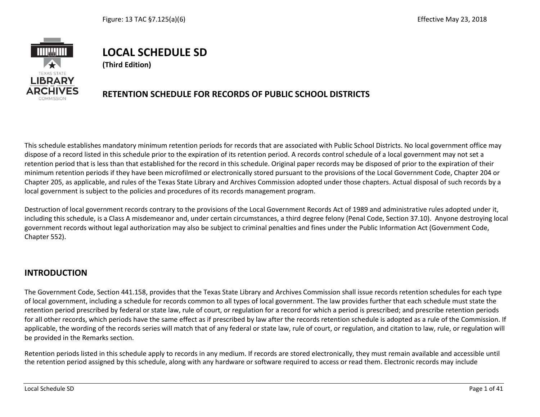

# **LOCAL SCHEDULE SD**

**(Third Edition)**

## **RETENTION SCHEDULE FOR RECORDS OF PUBLIC SCHOOL DISTRICTS**

This schedule establishes mandatory minimum retention periods for records that are associated with Public School Districts. No local government office may dispose of a record listed in this schedule prior to the expiration of its retention period. A records control schedule of a local government may not set a retention period that is less than that established for the record in this schedule. Original paper records may be disposed of prior to the expiration of their minimum retention periods if they have been microfilmed or electronically stored pursuant to the provisions of the Local Government Code, Chapter 204 or Chapter 205, as applicable, and rules of the Texas State Library and Archives Commission adopted under those chapters. Actual disposal of such records by a local government is subject to the policies and procedures of its records management program.

Destruction of local government records contrary to the provisions of the Local Government Records Act of 1989 and administrative rules adopted under it, including this schedule, is a Class A misdemeanor and, under certain circumstances, a third degree felony (Penal Code, Section 37.10). Anyone destroying local government records without legal authorization may also be subject to criminal penalties and fines under the Public Information Act (Government Code, Chapter 552).

#### **INTRODUCTION**

The Government Code, Section 441.158, provides that the Texas State Library and Archives Commission shall issue records retention schedules for each type of local government, including a schedule for records common to all types of local government. The law provides further that each schedule must state the retention period prescribed by federal or state law, rule of court, or regulation for a record for which a period is prescribed; and prescribe retention periods for all other records, which periods have the same effect as if prescribed by law after the records retention schedule is adopted as a rule of the Commission. If applicable, the wording of the records series will match that of any federal or state law, rule of court, or regulation, and citation to law, rule, or regulation will be provided in the Remarks section.

Retention periods listed in this schedule apply to records in any medium. If records are stored electronically, they must remain available and accessible until the retention period assigned by this schedule, along with any hardware or software required to access or read them. Electronic records may include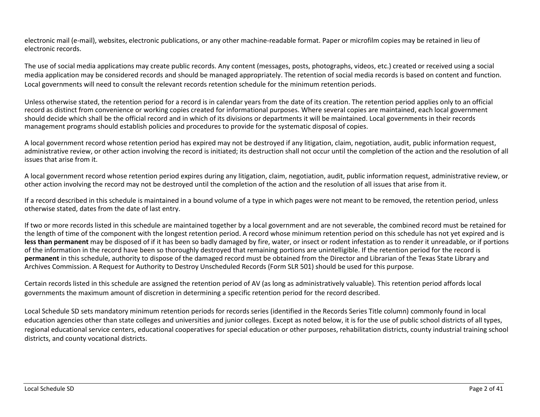electronic mail (e-mail), websites, electronic publications, or any other machine-readable format. Paper or microfilm copies may be retained in lieu of electronic records.

The use of social media applications may create public records. Any content (messages, posts, photographs, videos, etc.) created or received using a social media application may be considered records and should be managed appropriately. The retention of social media records is based on content and function. Local governments will need to consult the relevant records retention schedule for the minimum retention periods.

Unless otherwise stated, the retention period for a record is in calendar years from the date of its creation. The retention period applies only to an official record as distinct from convenience or working copies created for informational purposes. Where several copies are maintained, each local government should decide which shall be the official record and in which of its divisions or departments it will be maintained. Local governments in their records management programs should establish policies and procedures to provide for the systematic disposal of copies.

A local government record whose retention period has expired may not be destroyed if any litigation, claim, negotiation, audit, public information request, administrative review, or other action involving the record is initiated; its destruction shall not occur until the completion of the action and the resolution of all issues that arise from it.

A local government record whose retention period expires during any litigation, claim, negotiation, audit, public information request, administrative review, or other action involving the record may not be destroyed until the completion of the action and the resolution of all issues that arise from it.

If a record described in this schedule is maintained in a bound volume of a type in which pages were not meant to be removed, the retention period, unless otherwise stated, dates from the date of last entry.

If two or more records listed in this schedule are maintained together by a local government and are not severable, the combined record must be retained for the length of time of the component with the longest retention period. A record whose minimum retention period on this schedule has not yet expired and is less than permanent may be disposed of if it has been so badly damaged by fire, water, or insect or rodent infestation as to render it unreadable, or if portions of the information in the record have been so thoroughly destroyed that remaining portions are unintelligible. If the retention period for the record is **permanent** in this schedule, authority to dispose of the damaged record must be obtained from the Director and Librarian of the Texas State Library and Archives Commission. A Request for Authority to Destroy Unscheduled Records (Form SLR 501) should be used for this purpose.

Certain records listed in this schedule are assigned the retention period of AV (as long as administratively valuable). This retention period affords local governments the maximum amount of discretion in determining a specific retention period for the record described.

Local Schedule SD sets mandatory minimum retention periods for records series (identified in the Records Series Title column) commonly found in local education agencies other than state colleges and universities and junior colleges. Except as noted below, it is for the use of public school districts of all types, regional educational service centers, educational cooperatives for special education or other purposes, rehabilitation districts, county industrial training school districts, and county vocational districts.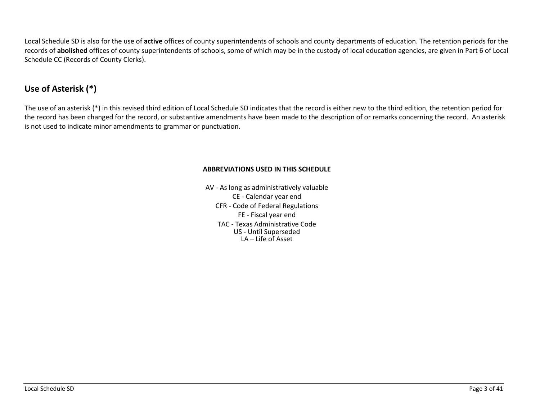Local Schedule SD is also for the use of **active** offices of county superintendents of schools and county departments of education. The retention periods for the records of **abolished** offices of county superintendents of schools, some of which may be in the custody of local education agencies, are given in Part 6 of Local Schedule CC (Records of County Clerks).

# **Use of Asterisk (\*)**

The use of an asterisk (\*) in this revised third edition of Local Schedule SD indicates that the record is either new to the third edition, the retention period for the record has been changed for the record, or substantive amendments have been made to the description of or remarks concerning the record. An asterisk is not used to indicate minor amendments to grammar or punctuation.

#### **ABBREVIATIONS USED IN THIS SCHEDULE**

AV - As long as administratively valuable CE - Calendar year end CFR - Code of Federal Regulations FE - Fiscal year end TAC - Texas Administrative Code US - Until Superseded LA – Life of Asset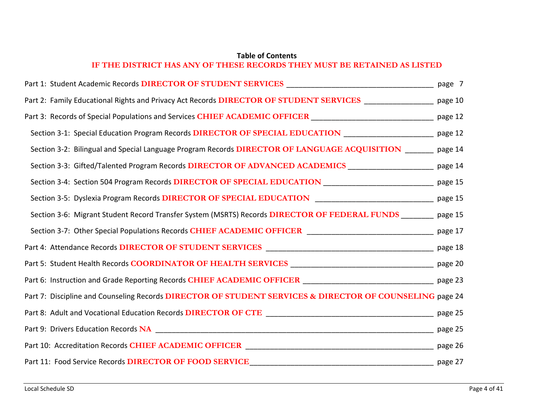#### **Table of Contents IF THE DISTRICT HAS ANY OF THESE RECORDS THEY MUST BE RETAINED AS LISTED**

| Part 2: Family Educational Rights and Privacy Act Records DIRECTOR OF STUDENT SERVICES ________________ page 10     |         |
|---------------------------------------------------------------------------------------------------------------------|---------|
| Part 3: Records of Special Populations and Services CHIEF ACADEMIC OFFICER ________________________________ page 12 |         |
| Section 3-1: Special Education Program Records DIRECTOR OF SPECIAL EDUCATION _____________________ page 12          |         |
| Section 3-2: Bilingual and Special Language Program Records DIRECTOR OF LANGUAGE ACQUISITION ______ page 14         |         |
| Section 3-3: Gifted/Talented Program Records DIRECTOR OF ADVANCED ACADEMICS ___________________ page 14             |         |
| Section 3-4: Section 504 Program Records DIRECTOR OF SPECIAL EDUCATION ____________________________ page 15         |         |
| Section 3-5: Dyslexia Program Records DIRECTOR OF SPECIAL EDUCATION _______________________________ page 15         |         |
| Section 3-6: Migrant Student Record Transfer System (MSRTS) Records DIRECTOR OF FEDERAL FUNDS _______ page 15       |         |
| Section 3-7: Other Special Populations Records CHIEF ACADEMIC OFFICER ______________________________ page 17        |         |
|                                                                                                                     |         |
|                                                                                                                     |         |
| Part 6: Instruction and Grade Reporting Records CHIEF ACADEMIC OFFICER ________________________________ page 23     |         |
| Part 7: Discipline and Counseling Records DIRECTOR OF STUDENT SERVICES & DIRECTOR OF COUNSELING page 24             |         |
|                                                                                                                     |         |
|                                                                                                                     |         |
|                                                                                                                     |         |
| Part 11: Food Service Records DIRECTOR OF FOOD SERVICE                                                              | page 27 |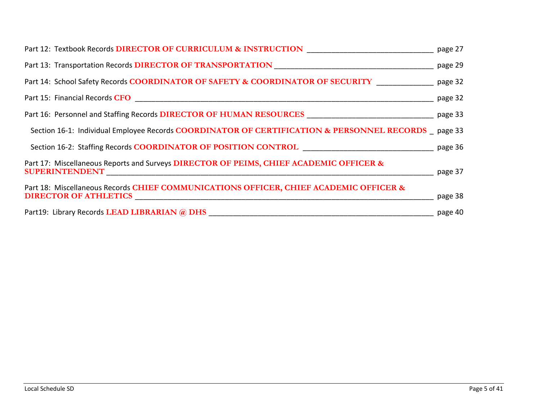|                                                                                                                                                                                                                                | page 27 |
|--------------------------------------------------------------------------------------------------------------------------------------------------------------------------------------------------------------------------------|---------|
| Part 13: Transportation Records DIRECTOR OF TRANSPORTATION [100] [100] [100] [100] [100] [100] [100] [100] [100] [100] [100] [100] [100] [100] [100] [100] [100] [100] [100] [100] [100] [100] [100] [100] [100] [100] [100] [ | page 29 |
| Part 14: School Safety Records COORDINATOR OF SAFETY & COORDINATOR OF SECURITY                                                                                                                                                 | page 32 |
|                                                                                                                                                                                                                                | page 32 |
|                                                                                                                                                                                                                                | page 33 |
| Section 16-1: Individual Employee Records COORDINATOR OF CERTIFICATION & PERSONNEL RECORDS page 33                                                                                                                             |         |
|                                                                                                                                                                                                                                |         |
| Part 17: Miscellaneous Reports and Surveys DIRECTOR OF PEIMS, CHIEF ACADEMIC OFFICER &                                                                                                                                         | page 37 |
| Part 18: Miscellaneous Records CHIEF COMMUNICATIONS OFFICER, CHIEF ACADEMIC OFFICER &<br>DIRECTOR OF ATHLETICS PERSONAL PROPERTY AND THE PROPERTY OF ATHLETICS                                                                 | page 38 |
| Part19: Library Records LEAD LIBRARIAN @ DHS                                                                                                                                                                                   | page 40 |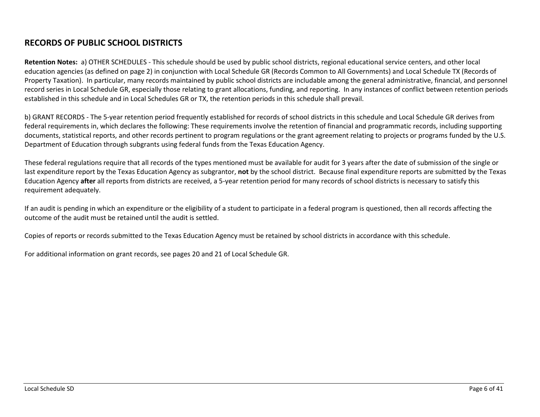### **RECORDS OF PUBLIC SCHOOL DISTRICTS**

**Retention Notes:** a) OTHER SCHEDULES - This schedule should be used by public school districts, regional educational service centers, and other local education agencies (as defined on page 2) in conjunction with Local Schedule GR (Records Common to All Governments) and Local Schedule TX (Records of Property Taxation). In particular, many records maintained by public school districts are includable among the general administrative, financial, and personnel record series in Local Schedule GR, especially those relating to grant allocations, funding, and reporting. In any instances of conflict between retention periods established in this schedule and in Local Schedules GR or TX, the retention periods in this schedule shall prevail.

b) GRANT RECORDS - The 5-year retention period frequently established for records of school districts in this schedule and Local Schedule GR derives from federal requirements in, which declares the following: These requirements involve the retention of financial and programmatic records, including supporting documents, statistical reports, and other records pertinent to program regulations or the grant agreement relating to projects or programs funded by the U.S. Department of Education through subgrants using federal funds from the Texas Education Agency.

These federal regulations require that all records of the types mentioned must be available for audit for 3 years after the date of submission of the single or last expenditure report by the Texas Education Agency as subgrantor, **not** by the school district. Because final expenditure reports are submitted by the Texas Education Agency **after** all reports from districts are received, a 5-year retention period for many records of school districts is necessary to satisfy this requirement adequately.

If an audit is pending in which an expenditure or the eligibility of a student to participate in a federal program is questioned, then all records affecting the outcome of the audit must be retained until the audit is settled.

Copies of reports or records submitted to the Texas Education Agency must be retained by school districts in accordance with this schedule.

For additional information on grant records, see pages 20 and 21 of Local Schedule GR.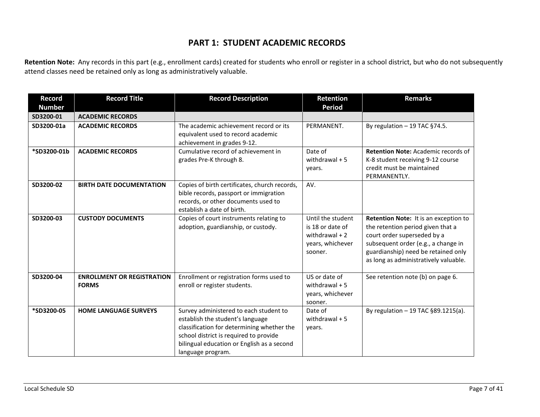#### **PART 1: STUDENT ACADEMIC RECORDS**

**Retention Note:** Any records in this part (e.g., enrollment cards) created for students who enroll or register in a school district, but who do not subsequently attend classes need be retained only as long as administratively valuable.

| <b>Record</b><br><b>Number</b> | <b>Record Title</b>                               | <b>Record Description</b>                                                                                                                                                                                                             | Retention<br><b>Period</b>                                                              | <b>Remarks</b>                                                                                                                                                                                                                   |
|--------------------------------|---------------------------------------------------|---------------------------------------------------------------------------------------------------------------------------------------------------------------------------------------------------------------------------------------|-----------------------------------------------------------------------------------------|----------------------------------------------------------------------------------------------------------------------------------------------------------------------------------------------------------------------------------|
| SD3200-01                      | <b>ACADEMIC RECORDS</b>                           |                                                                                                                                                                                                                                       |                                                                                         |                                                                                                                                                                                                                                  |
| SD3200-01a                     | <b>ACADEMIC RECORDS</b>                           | The academic achievement record or its<br>equivalent used to record academic<br>achievement in grades 9-12.                                                                                                                           | PERMANENT.                                                                              | By regulation $-19$ TAC §74.5.                                                                                                                                                                                                   |
| *SD3200-01b                    | <b>ACADEMIC RECORDS</b>                           | Cumulative record of achievement in<br>grades Pre-K through 8.                                                                                                                                                                        | Date of<br>withdrawal $+5$<br>years.                                                    | <b>Retention Note: Academic records of</b><br>K-8 student receiving 9-12 course<br>credit must be maintained<br>PERMANENTLY.                                                                                                     |
| SD3200-02                      | <b>BIRTH DATE DOCUMENTATION</b>                   | Copies of birth certificates, church records,<br>bible records, passport or immigration<br>records, or other documents used to<br>establish a date of birth.                                                                          | AV.                                                                                     |                                                                                                                                                                                                                                  |
| SD3200-03                      | <b>CUSTODY DOCUMENTS</b>                          | Copies of court instruments relating to<br>adoption, guardianship, or custody.                                                                                                                                                        | Until the student<br>is 18 or date of<br>withdrawal $+2$<br>years, whichever<br>sooner. | Retention Note: It is an exception to<br>the retention period given that a<br>court order superseded by a<br>subsequent order (e.g., a change in<br>guardianship) need be retained only<br>as long as administratively valuable. |
| SD3200-04                      | <b>ENROLLMENT OR REGISTRATION</b><br><b>FORMS</b> | Enrollment or registration forms used to<br>enroll or register students.                                                                                                                                                              | US or date of<br>withdrawal $+5$<br>years, whichever<br>sooner.                         | See retention note (b) on page 6.                                                                                                                                                                                                |
| *SD3200-05                     | <b>HOME LANGUAGE SURVEYS</b>                      | Survey administered to each student to<br>establish the student's language<br>classification for determining whether the<br>school district is required to provide<br>bilingual education or English as a second<br>language program. | Date of<br>withdrawal $+5$<br>years.                                                    | By regulation $-19$ TAC §89.1215(a).                                                                                                                                                                                             |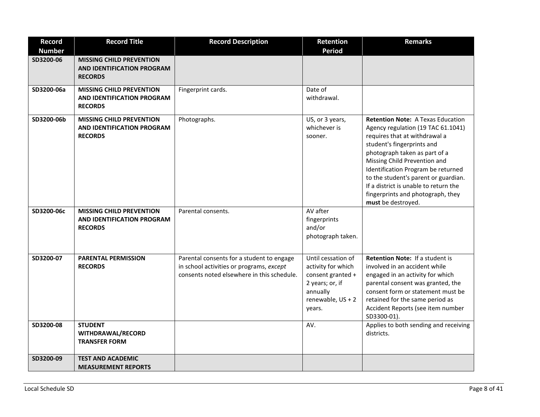| <b>Record</b> | <b>Record Title</b>                                                                    | <b>Record Description</b>                                                                                                           | Retention                                                                                                                   | <b>Remarks</b>                                                                                                                                                                                                                                                                                                                                                                                   |
|---------------|----------------------------------------------------------------------------------------|-------------------------------------------------------------------------------------------------------------------------------------|-----------------------------------------------------------------------------------------------------------------------------|--------------------------------------------------------------------------------------------------------------------------------------------------------------------------------------------------------------------------------------------------------------------------------------------------------------------------------------------------------------------------------------------------|
| <b>Number</b> |                                                                                        |                                                                                                                                     | <b>Period</b>                                                                                                               |                                                                                                                                                                                                                                                                                                                                                                                                  |
| SD3200-06     | <b>MISSING CHILD PREVENTION</b><br>AND IDENTIFICATION PROGRAM<br><b>RECORDS</b>        |                                                                                                                                     |                                                                                                                             |                                                                                                                                                                                                                                                                                                                                                                                                  |
| SD3200-06a    | <b>MISSING CHILD PREVENTION</b><br>AND IDENTIFICATION PROGRAM<br><b>RECORDS</b>        | Fingerprint cards.                                                                                                                  | Date of<br>withdrawal.                                                                                                      |                                                                                                                                                                                                                                                                                                                                                                                                  |
| SD3200-06b    | <b>MISSING CHILD PREVENTION</b><br><b>AND IDENTIFICATION PROGRAM</b><br><b>RECORDS</b> | Photographs.                                                                                                                        | US, or 3 years,<br>whichever is<br>sooner.                                                                                  | <b>Retention Note: A Texas Education</b><br>Agency regulation (19 TAC 61.1041)<br>requires that at withdrawal a<br>student's fingerprints and<br>photograph taken as part of a<br>Missing Child Prevention and<br>Identification Program be returned<br>to the student's parent or guardian.<br>If a district is unable to return the<br>fingerprints and photograph, they<br>must be destroyed. |
| SD3200-06c    | <b>MISSING CHILD PREVENTION</b><br><b>AND IDENTIFICATION PROGRAM</b><br><b>RECORDS</b> | Parental consents.                                                                                                                  | AV after<br>fingerprints<br>and/or<br>photograph taken.                                                                     |                                                                                                                                                                                                                                                                                                                                                                                                  |
| SD3200-07     | <b>PARENTAL PERMISSION</b><br><b>RECORDS</b>                                           | Parental consents for a student to engage<br>in school activities or programs, except<br>consents noted elsewhere in this schedule. | Until cessation of<br>activity for which<br>consent granted +<br>2 years; or, if<br>annually<br>renewable, US + 2<br>years. | Retention Note: If a student is<br>involved in an accident while<br>engaged in an activity for which<br>parental consent was granted, the<br>consent form or statement must be<br>retained for the same period as<br>Accident Reports (see item number<br>SD3300-01).                                                                                                                            |
| SD3200-08     | <b>STUDENT</b><br>WITHDRAWAL/RECORD<br><b>TRANSFER FORM</b>                            |                                                                                                                                     | AV.                                                                                                                         | Applies to both sending and receiving<br>districts.                                                                                                                                                                                                                                                                                                                                              |
| SD3200-09     | <b>TEST AND ACADEMIC</b><br><b>MEASUREMENT REPORTS</b>                                 |                                                                                                                                     |                                                                                                                             |                                                                                                                                                                                                                                                                                                                                                                                                  |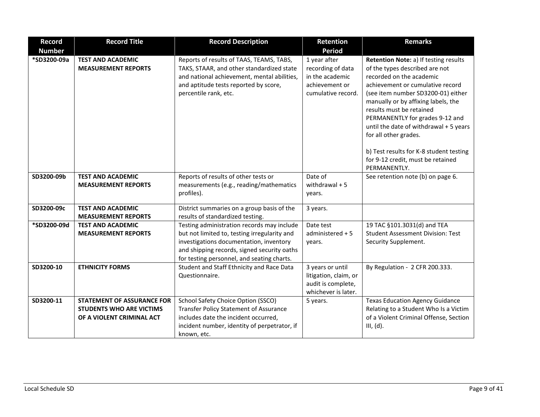| <b>Record</b> | <b>Record Title</b>                                                                               | <b>Record Description</b>                                                                                                                                                                                                          | Retention                                                                                    | <b>Remarks</b>                                                                                                                                                                                                                                                                                                                                                                                                                                         |
|---------------|---------------------------------------------------------------------------------------------------|------------------------------------------------------------------------------------------------------------------------------------------------------------------------------------------------------------------------------------|----------------------------------------------------------------------------------------------|--------------------------------------------------------------------------------------------------------------------------------------------------------------------------------------------------------------------------------------------------------------------------------------------------------------------------------------------------------------------------------------------------------------------------------------------------------|
| <b>Number</b> |                                                                                                   |                                                                                                                                                                                                                                    | <b>Period</b>                                                                                |                                                                                                                                                                                                                                                                                                                                                                                                                                                        |
| *SD3200-09a   | <b>TEST AND ACADEMIC</b><br><b>MEASUREMENT REPORTS</b>                                            | Reports of results of TAAS, TEAMS, TABS,<br>TAKS, STAAR, and other standardized state<br>and national achievement, mental abilities,<br>and aptitude tests reported by score,<br>percentile rank, etc.                             | 1 year after<br>recording of data<br>in the academic<br>achievement or<br>cumulative record. | Retention Note: a) If testing results<br>of the types described are not<br>recorded on the academic<br>achievement or cumulative record<br>(see item number SD3200-01) either<br>manually or by affixing labels, the<br>results must be retained<br>PERMANENTLY for grades 9-12 and<br>until the date of withdrawal + 5 years<br>for all other grades.<br>b) Test results for K-8 student testing<br>for 9-12 credit, must be retained<br>PERMANENTLY. |
| SD3200-09b    | <b>TEST AND ACADEMIC</b><br><b>MEASUREMENT REPORTS</b>                                            | Reports of results of other tests or<br>measurements (e.g., reading/mathematics<br>profiles).                                                                                                                                      | Date of<br>withdrawal $+5$<br>years.                                                         | See retention note (b) on page 6.                                                                                                                                                                                                                                                                                                                                                                                                                      |
| SD3200-09c    | <b>TEST AND ACADEMIC</b><br><b>MEASUREMENT REPORTS</b>                                            | District summaries on a group basis of the<br>results of standardized testing.                                                                                                                                                     | 3 years.                                                                                     |                                                                                                                                                                                                                                                                                                                                                                                                                                                        |
| *SD3200-09d   | <b>TEST AND ACADEMIC</b><br><b>MEASUREMENT REPORTS</b>                                            | Testing administration records may include<br>but not limited to, testing irregularity and<br>investigations documentation, inventory<br>and shipping records, signed security oaths<br>for testing personnel, and seating charts. | Date test<br>administered + 5<br>years.                                                      | 19 TAC §101.3031(d) and TEA<br><b>Student Assessment Division: Test</b><br>Security Supplement.                                                                                                                                                                                                                                                                                                                                                        |
| SD3200-10     | <b>ETHNICITY FORMS</b>                                                                            | Student and Staff Ethnicity and Race Data<br>Questionnaire.                                                                                                                                                                        | 3 years or until<br>litigation, claim, or<br>audit is complete,<br>whichever is later.       | By Regulation - 2 CFR 200.333.                                                                                                                                                                                                                                                                                                                                                                                                                         |
| SD3200-11     | <b>STATEMENT OF ASSURANCE FOR</b><br><b>STUDENTS WHO ARE VICTIMS</b><br>OF A VIOLENT CRIMINAL ACT | School Safety Choice Option (SSCO)<br>Transfer Policy Statement of Assurance<br>includes date the incident occurred,<br>incident number, identity of perpetrator, if<br>known, etc.                                                | 5 years.                                                                                     | <b>Texas Education Agency Guidance</b><br>Relating to a Student Who Is a Victim<br>of a Violent Criminal Offense, Section<br>III, (d).                                                                                                                                                                                                                                                                                                                 |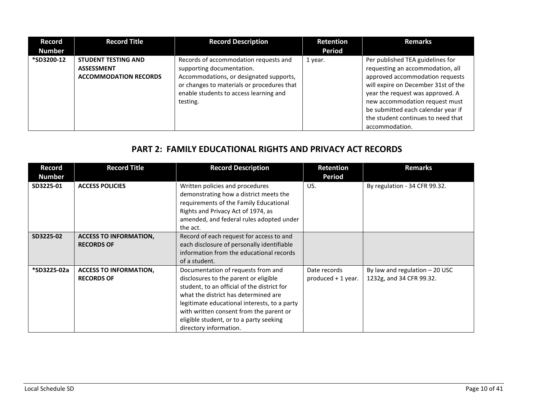| <b>Record</b><br><b>Number</b> | <b>Record Title</b>                                                             | <b>Record Description</b>                                                                                                                                                                                         | <b>Retention</b><br><b>Period</b> | <b>Remarks</b>                                                                                                                                                                                                                                                                                                     |
|--------------------------------|---------------------------------------------------------------------------------|-------------------------------------------------------------------------------------------------------------------------------------------------------------------------------------------------------------------|-----------------------------------|--------------------------------------------------------------------------------------------------------------------------------------------------------------------------------------------------------------------------------------------------------------------------------------------------------------------|
| *SD3200-12                     | <b>STUDENT TESTING AND</b><br><b>ASSESSMENT</b><br><b>ACCOMMODATION RECORDS</b> | Records of accommodation requests and<br>supporting documentation.<br>Accommodations, or designated supports,<br>or changes to materials or procedures that<br>enable students to access learning and<br>testing. | 1 year.                           | Per published TEA guidelines for<br>requesting an accommodation, all<br>approved accommodation requests<br>will expire on December 31st of the<br>year the request was approved. A<br>new accommodation request must<br>be submitted each calendar year if<br>the student continues to need that<br>accommodation. |

# **PART 2: FAMILY EDUCATIONAL RIGHTS AND PRIVACY ACT RECORDS**

| Record<br><b>Number</b> | <b>Record Title</b>                                | <b>Record Description</b>                                                                                                                                                                                                                                                                                                          | Retention<br><b>Period</b>         | <b>Remarks</b>                                              |
|-------------------------|----------------------------------------------------|------------------------------------------------------------------------------------------------------------------------------------------------------------------------------------------------------------------------------------------------------------------------------------------------------------------------------------|------------------------------------|-------------------------------------------------------------|
| SD3225-01               | <b>ACCESS POLICIES</b>                             | Written policies and procedures<br>demonstrating how a district meets the<br>requirements of the Family Educational<br>Rights and Privacy Act of 1974, as<br>amended, and federal rules adopted under<br>the act.                                                                                                                  | US.                                | By regulation - 34 CFR 99.32.                               |
| SD3225-02               | <b>ACCESS TO INFORMATION,</b><br><b>RECORDS OF</b> | Record of each request for access to and<br>each disclosure of personally identifiable<br>information from the educational records<br>of a student.                                                                                                                                                                                |                                    |                                                             |
| *SD3225-02a             | <b>ACCESS TO INFORMATION,</b><br><b>RECORDS OF</b> | Documentation of requests from and<br>disclosures to the parent or eligible<br>student, to an official of the district for<br>what the district has determined are<br>legitimate educational interests, to a party<br>with written consent from the parent or<br>eligible student, or to a party seeking<br>directory information. | Date records<br>produced + 1 year. | By law and regulation $-20$ USC<br>1232g, and 34 CFR 99.32. |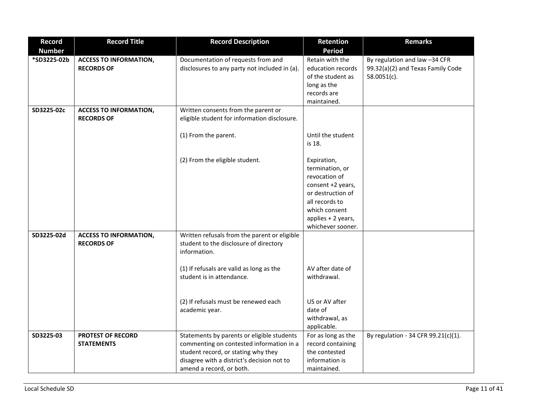| <b>Record</b> | <b>Record Title</b>                                | <b>Record Description</b>                                                                                                                                                                               | Retention                                                                                                                                                               | <b>Remarks</b>                                                                    |
|---------------|----------------------------------------------------|---------------------------------------------------------------------------------------------------------------------------------------------------------------------------------------------------------|-------------------------------------------------------------------------------------------------------------------------------------------------------------------------|-----------------------------------------------------------------------------------|
| <b>Number</b> |                                                    |                                                                                                                                                                                                         | <b>Period</b>                                                                                                                                                           |                                                                                   |
| *SD3225-02b   | <b>ACCESS TO INFORMATION,</b><br><b>RECORDS OF</b> | Documentation of requests from and<br>disclosures to any party not included in (a).                                                                                                                     | Retain with the<br>education records<br>of the student as<br>long as the<br>records are<br>maintained.                                                                  | By regulation and law -34 CFR<br>99.32(a)(2) and Texas Family Code<br>58.0051(c). |
| SD3225-02c    | <b>ACCESS TO INFORMATION,</b><br><b>RECORDS OF</b> | Written consents from the parent or<br>eligible student for information disclosure.                                                                                                                     |                                                                                                                                                                         |                                                                                   |
|               |                                                    | (1) From the parent.                                                                                                                                                                                    | Until the student<br>is 18.                                                                                                                                             |                                                                                   |
|               |                                                    | (2) From the eligible student.                                                                                                                                                                          | Expiration,<br>termination, or<br>revocation of<br>consent +2 years,<br>or destruction of<br>all records to<br>which consent<br>applies + 2 years,<br>whichever sooner. |                                                                                   |
| SD3225-02d    | <b>ACCESS TO INFORMATION,</b><br><b>RECORDS OF</b> | Written refusals from the parent or eligible<br>student to the disclosure of directory<br>information.                                                                                                  |                                                                                                                                                                         |                                                                                   |
|               |                                                    | (1) If refusals are valid as long as the<br>student is in attendance.                                                                                                                                   | AV after date of<br>withdrawal.                                                                                                                                         |                                                                                   |
|               |                                                    | (2) If refusals must be renewed each<br>academic year.                                                                                                                                                  | US or AV after<br>date of<br>withdrawal, as<br>applicable.                                                                                                              |                                                                                   |
| SD3225-03     | <b>PROTEST OF RECORD</b><br><b>STATEMENTS</b>      | Statements by parents or eligible students<br>commenting on contested information in a<br>student record, or stating why they<br>disagree with a district's decision not to<br>amend a record, or both. | For as long as the<br>record containing<br>the contested<br>information is<br>maintained.                                                                               | By regulation - 34 CFR 99.21(c)(1).                                               |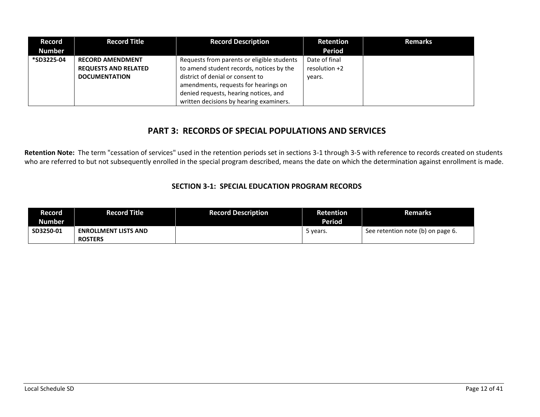| <b>Record</b><br><b>Number</b> | <b>Record Title</b>         | <b>Record Description</b>                  | <b>Retention</b><br>Period | <b>Remarks</b> |
|--------------------------------|-----------------------------|--------------------------------------------|----------------------------|----------------|
| *SD3225-04                     | <b>RECORD AMENDMENT</b>     | Requests from parents or eligible students | Date of final              |                |
|                                | <b>REQUESTS AND RELATED</b> | to amend student records, notices by the   | resolution +2              |                |
|                                | <b>DOCUMENTATION</b>        | district of denial or consent to           | vears.                     |                |
|                                |                             | amendments, requests for hearings on       |                            |                |
|                                |                             | denied requests, hearing notices, and      |                            |                |
|                                |                             | written decisions by hearing examiners.    |                            |                |

### **PART 3: RECORDS OF SPECIAL POPULATIONS AND SERVICES**

**Retention Note:** The term "cessation of services" used in the retention periods set in sections 3-1 through 3-5 with reference to records created on students who are referred to but not subsequently enrolled in the special program described, means the date on which the determination against enrollment is made.

#### **SECTION 3-1: SPECIAL EDUCATION PROGRAM RECORDS**

| Record        | <b>Record Title</b>         | <b>Record Description</b> | Retention     | <b>Remarks</b>                    |
|---------------|-----------------------------|---------------------------|---------------|-----------------------------------|
| <b>Number</b> |                             |                           | <b>Period</b> |                                   |
| SD3250-01     | <b>ENROLLMENT LISTS AND</b> |                           | 5 years.      | See retention note (b) on page 6. |
|               | <b>ROSTERS</b>              |                           |               |                                   |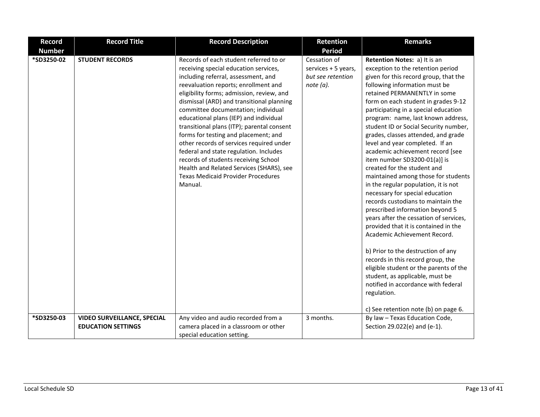| <b>Record</b> | <b>Record Title</b>                                             | <b>Record Description</b>                                                                                                                                                                                                                                                                                                                                                                                                                                                                                                                                                                                                                                         | <b>Retention</b>                                                      | <b>Remarks</b>                                                                                                                                                                                                                                                                                                                                                                                                                                                                                                                                                                                                                                                                                                                                                                                                                                                                                                                                                                                                                                                                            |
|---------------|-----------------------------------------------------------------|-------------------------------------------------------------------------------------------------------------------------------------------------------------------------------------------------------------------------------------------------------------------------------------------------------------------------------------------------------------------------------------------------------------------------------------------------------------------------------------------------------------------------------------------------------------------------------------------------------------------------------------------------------------------|-----------------------------------------------------------------------|-------------------------------------------------------------------------------------------------------------------------------------------------------------------------------------------------------------------------------------------------------------------------------------------------------------------------------------------------------------------------------------------------------------------------------------------------------------------------------------------------------------------------------------------------------------------------------------------------------------------------------------------------------------------------------------------------------------------------------------------------------------------------------------------------------------------------------------------------------------------------------------------------------------------------------------------------------------------------------------------------------------------------------------------------------------------------------------------|
| <b>Number</b> |                                                                 |                                                                                                                                                                                                                                                                                                                                                                                                                                                                                                                                                                                                                                                                   | <b>Period</b>                                                         |                                                                                                                                                                                                                                                                                                                                                                                                                                                                                                                                                                                                                                                                                                                                                                                                                                                                                                                                                                                                                                                                                           |
| *SD3250-02    | <b>STUDENT RECORDS</b>                                          | Records of each student referred to or<br>receiving special education services,<br>including referral, assessment, and<br>reevaluation reports; enrollment and<br>eligibility forms; admission, review, and<br>dismissal (ARD) and transitional planning<br>committee documentation; individual<br>educational plans (IEP) and individual<br>transitional plans (ITP); parental consent<br>forms for testing and placement; and<br>other records of services required under<br>federal and state regulation. Includes<br>records of students receiving School<br>Health and Related Services (SHARS), see<br><b>Texas Medicaid Provider Procedures</b><br>Manual. | Cessation of<br>services + 5 years,<br>but see retention<br>note (a). | Retention Notes: a) It is an<br>exception to the retention period<br>given for this record group, that the<br>following information must be<br>retained PERMANENTLY in some<br>form on each student in grades 9-12<br>participating in a special education<br>program: name, last known address,<br>student ID or Social Security number,<br>grades, classes attended, and grade<br>level and year completed. If an<br>academic achievement record [see<br>item number SD3200-01(a)] is<br>created for the student and<br>maintained among those for students<br>in the regular population, it is not<br>necessary for special education<br>records custodians to maintain the<br>prescribed information beyond 5<br>years after the cessation of services,<br>provided that it is contained in the<br>Academic Achievement Record.<br>b) Prior to the destruction of any<br>records in this record group, the<br>eligible student or the parents of the<br>student, as applicable, must be<br>notified in accordance with federal<br>regulation.<br>c) See retention note (b) on page 6. |
| *SD3250-03    | <b>VIDEO SURVEILLANCE, SPECIAL</b><br><b>EDUCATION SETTINGS</b> | Any video and audio recorded from a<br>camera placed in a classroom or other                                                                                                                                                                                                                                                                                                                                                                                                                                                                                                                                                                                      | 3 months.                                                             | By law - Texas Education Code,<br>Section 29.022(e) and (e-1).                                                                                                                                                                                                                                                                                                                                                                                                                                                                                                                                                                                                                                                                                                                                                                                                                                                                                                                                                                                                                            |
|               |                                                                 | special education setting.                                                                                                                                                                                                                                                                                                                                                                                                                                                                                                                                                                                                                                        |                                                                       |                                                                                                                                                                                                                                                                                                                                                                                                                                                                                                                                                                                                                                                                                                                                                                                                                                                                                                                                                                                                                                                                                           |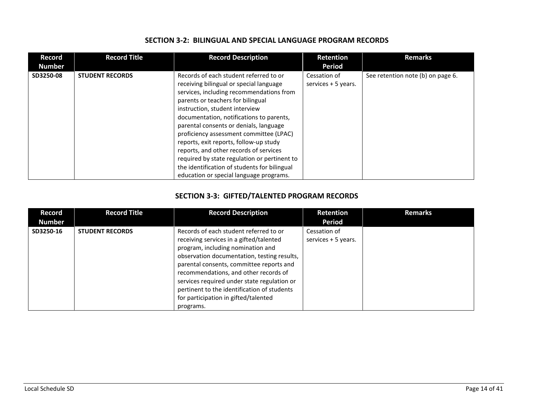| Record<br><b>Number</b> | <b>Record Title</b>    | <b>Record Description</b>                                                                                                                                                                                                                                                                                                                                                                                                                                                                                                                                            | <b>Retention</b><br><b>Period</b>   | <b>Remarks</b>                    |
|-------------------------|------------------------|----------------------------------------------------------------------------------------------------------------------------------------------------------------------------------------------------------------------------------------------------------------------------------------------------------------------------------------------------------------------------------------------------------------------------------------------------------------------------------------------------------------------------------------------------------------------|-------------------------------------|-----------------------------------|
| SD3250-08               | <b>STUDENT RECORDS</b> | Records of each student referred to or<br>receiving bilingual or special language<br>services, including recommendations from<br>parents or teachers for bilingual<br>instruction, student interview<br>documentation, notifications to parents,<br>parental consents or denials, language<br>proficiency assessment committee (LPAC)<br>reports, exit reports, follow-up study<br>reports, and other records of services<br>required by state regulation or pertinent to<br>the identification of students for bilingual<br>education or special language programs. | Cessation of<br>services + 5 years. | See retention note (b) on page 6. |

#### **SECTION 3-2: BILINGUAL AND SPECIAL LANGUAGE PROGRAM RECORDS**

#### **SECTION 3-3: GIFTED/TALENTED PROGRAM RECORDS**

| Record<br><b>Number</b> | <b>Record Title</b>    | <b>Record Description</b>                                                                                                                                                                                                                                                                                                                                                                                     | <b>Retention</b><br>Period          | <b>Remarks</b> |
|-------------------------|------------------------|---------------------------------------------------------------------------------------------------------------------------------------------------------------------------------------------------------------------------------------------------------------------------------------------------------------------------------------------------------------------------------------------------------------|-------------------------------------|----------------|
| SD3250-16               | <b>STUDENT RECORDS</b> | Records of each student referred to or<br>receiving services in a gifted/talented<br>program, including nomination and<br>observation documentation, testing results,<br>parental consents, committee reports and<br>recommendations, and other records of<br>services required under state regulation or<br>pertinent to the identification of students<br>for participation in gifted/talented<br>programs. | Cessation of<br>services + 5 years. |                |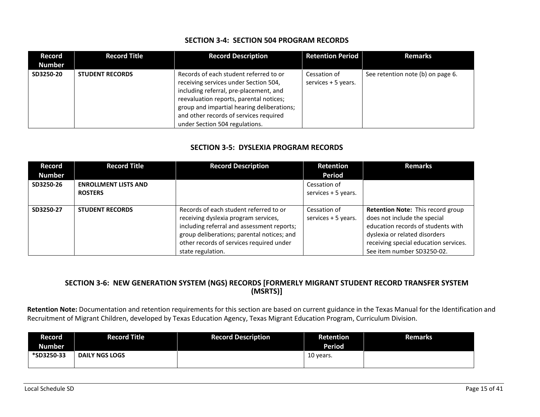#### **SECTION 3-4: SECTION 504 PROGRAM RECORDS**

| Record<br><b>Number</b> | <b>Record Title</b>    | <b>Record Description</b>                                                                                                                                                                                                                                                                      | <b>Retention Period</b>             | <b>Remarks</b>                    |
|-------------------------|------------------------|------------------------------------------------------------------------------------------------------------------------------------------------------------------------------------------------------------------------------------------------------------------------------------------------|-------------------------------------|-----------------------------------|
| SD3250-20               | <b>STUDENT RECORDS</b> | Records of each student referred to or<br>receiving services under Section 504,<br>including referral, pre-placement, and<br>reevaluation reports, parental notices;<br>group and impartial hearing deliberations;<br>and other records of services required<br>under Section 504 regulations. | Cessation of<br>services + 5 years. | See retention note (b) on page 6. |

#### **SECTION 3-5: DYSLEXIA PROGRAM RECORDS**

| <b>Record</b> | <b>Record Title</b>         | <b>Record Description</b>                  | <b>Retention</b>    | <b>Remarks</b>                        |
|---------------|-----------------------------|--------------------------------------------|---------------------|---------------------------------------|
| <b>Number</b> |                             |                                            | Period              |                                       |
| SD3250-26     | <b>ENROLLMENT LISTS AND</b> |                                            | Cessation of        |                                       |
|               | <b>ROSTERS</b>              |                                            | services + 5 years. |                                       |
|               |                             |                                            |                     |                                       |
| SD3250-27     | <b>STUDENT RECORDS</b>      | Records of each student referred to or     | Cessation of        | Retention Note: This record group     |
|               |                             | receiving dyslexia program services,       | services + 5 years. | does not include the special          |
|               |                             | including referral and assessment reports; |                     | education records of students with    |
|               |                             | group deliberations; parental notices; and |                     | dyslexia or related disorders         |
|               |                             | other records of services required under   |                     | receiving special education services. |
|               |                             | state regulation.                          |                     | See item number SD3250-02.            |

#### **SECTION 3-6: NEW GENERATION SYSTEM (NGS) RECORDS [FORMERLY MIGRANT STUDENT RECORD TRANSFER SYSTEM (MSRTS)]**

**Retention Note:** Documentation and retention requirements for this section are based on current guidance in the Texas Manual for the Identification and Recruitment of Migrant Children, developed by Texas Education Agency, Texas Migrant Education Program, Curriculum Division.

| Record     | Record Title          | <b>Record Description</b> | Retention     | <b>Remarks</b> |
|------------|-----------------------|---------------------------|---------------|----------------|
| Number     |                       |                           | <b>Period</b> |                |
| *SD3250-33 | <b>DAILY NGS LOGS</b> |                           | 10 years.     |                |
|            |                       |                           |               |                |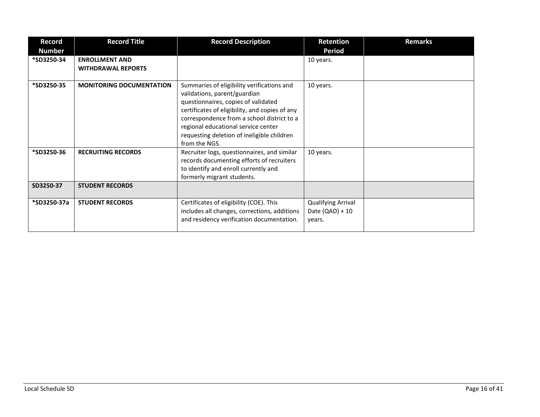| Record        | <b>Record Title</b>                                | <b>Record Description</b>                                                                                                                                                                                                                                                                                               | <b>Retention</b>                                         | <b>Remarks</b> |
|---------------|----------------------------------------------------|-------------------------------------------------------------------------------------------------------------------------------------------------------------------------------------------------------------------------------------------------------------------------------------------------------------------------|----------------------------------------------------------|----------------|
| <b>Number</b> |                                                    |                                                                                                                                                                                                                                                                                                                         | <b>Period</b>                                            |                |
| *SD3250-34    | <b>ENROLLMENT AND</b><br><b>WITHDRAWAL REPORTS</b> |                                                                                                                                                                                                                                                                                                                         | 10 years.                                                |                |
| *SD3250-35    | <b>MONITORING DOCUMENTATION</b>                    | Summaries of eligibility verifications and<br>validations, parent/guardian<br>questionnaires, copies of validated<br>certificates of eligibility, and copies of any<br>correspondence from a school district to a<br>regional educational service center<br>requesting deletion of ineligible children<br>from the NGS. | 10 years.                                                |                |
| *SD3250-36    | <b>RECRUITING RECORDS</b>                          | Recruiter logs, questionnaires, and similar<br>records documenting efforts of recruiters<br>to identify and enroll currently and<br>formerly migrant students.                                                                                                                                                          | 10 years.                                                |                |
| SD3250-37     | <b>STUDENT RECORDS</b>                             |                                                                                                                                                                                                                                                                                                                         |                                                          |                |
| *SD3250-37a   | <b>STUDENT RECORDS</b>                             | Certificates of eligibility (COE). This<br>includes all changes, corrections, additions<br>and residency verification documentation.                                                                                                                                                                                    | <b>Qualifying Arrival</b><br>Date $(QAD) + 10$<br>years. |                |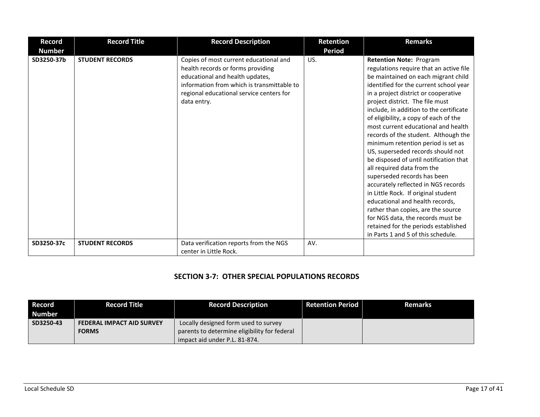| <b>Record</b><br><b>Number</b> | <b>Record Title</b>    | <b>Record Description</b>                                                                                                                                                                                               | <b>Retention</b><br><b>Period</b> | <b>Remarks</b>                                                                                                                                                                                                                                                                                                                                                                                                                                                                                                                                                                                                                                                                                                                                                                                                                                                       |
|--------------------------------|------------------------|-------------------------------------------------------------------------------------------------------------------------------------------------------------------------------------------------------------------------|-----------------------------------|----------------------------------------------------------------------------------------------------------------------------------------------------------------------------------------------------------------------------------------------------------------------------------------------------------------------------------------------------------------------------------------------------------------------------------------------------------------------------------------------------------------------------------------------------------------------------------------------------------------------------------------------------------------------------------------------------------------------------------------------------------------------------------------------------------------------------------------------------------------------|
| SD3250-37b                     | <b>STUDENT RECORDS</b> | Copies of most current educational and<br>health records or forms providing<br>educational and health updates,<br>information from which is transmittable to<br>regional educational service centers for<br>data entry. | US.                               | <b>Retention Note: Program</b><br>regulations require that an active file<br>be maintained on each migrant child<br>identified for the current school year<br>in a project district or cooperative<br>project district. The file must<br>include, in addition to the certificate<br>of eligibility, a copy of each of the<br>most current educational and health<br>records of the student. Although the<br>minimum retention period is set as<br>US, superseded records should not<br>be disposed of until notification that<br>all required data from the<br>superseded records has been<br>accurately reflected in NGS records<br>in Little Rock. If original student<br>educational and health records,<br>rather than copies, are the source<br>for NGS data, the records must be<br>retained for the periods established<br>in Parts 1 and 5 of this schedule. |
| SD3250-37c                     | <b>STUDENT RECORDS</b> | Data verification reports from the NGS<br>center in Little Rock.                                                                                                                                                        | AV.                               |                                                                                                                                                                                                                                                                                                                                                                                                                                                                                                                                                                                                                                                                                                                                                                                                                                                                      |

#### **SECTION 3-7: OTHER SPECIAL POPULATIONS RECORDS**

| Record        | <b>Record Title</b>              | <b>Record Description</b>                    | <b>Retention Period</b> | <b>Remarks</b> |
|---------------|----------------------------------|----------------------------------------------|-------------------------|----------------|
| <b>Number</b> |                                  |                                              |                         |                |
| SD3250-43     | <b>FEDERAL IMPACT AID SURVEY</b> | Locally designed form used to survey         |                         |                |
|               | <b>FORMS</b>                     | parents to determine eligibility for federal |                         |                |
|               |                                  | impact aid under P.L. 81-874.                |                         |                |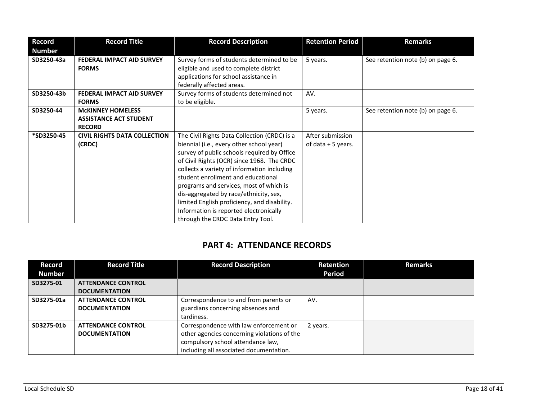| <b>Record</b><br><b>Number</b> | <b>Record Title</b>                                                        | <b>Record Description</b>                                                                                                                                                                                                                                                                                                                                                                                                                                                                      | <b>Retention Period</b>                 | <b>Remarks</b>                    |
|--------------------------------|----------------------------------------------------------------------------|------------------------------------------------------------------------------------------------------------------------------------------------------------------------------------------------------------------------------------------------------------------------------------------------------------------------------------------------------------------------------------------------------------------------------------------------------------------------------------------------|-----------------------------------------|-----------------------------------|
| SD3250-43a                     | <b>FEDERAL IMPACT AID SURVEY</b><br><b>FORMS</b>                           | Survey forms of students determined to be<br>eligible and used to complete district<br>applications for school assistance in<br>federally affected areas.                                                                                                                                                                                                                                                                                                                                      | 5 years.                                | See retention note (b) on page 6. |
| SD3250-43b                     | <b>FEDERAL IMPACT AID SURVEY</b><br><b>FORMS</b>                           | Survey forms of students determined not<br>to be eligible.                                                                                                                                                                                                                                                                                                                                                                                                                                     | AV.                                     |                                   |
| SD3250-44                      | <b>MCKINNEY HOMELESS</b><br><b>ASSISTANCE ACT STUDENT</b><br><b>RECORD</b> |                                                                                                                                                                                                                                                                                                                                                                                                                                                                                                | 5 years.                                | See retention note (b) on page 6. |
| *SD3250-45                     | <b>CIVIL RIGHTS DATA COLLECTION</b><br>(CRDC)                              | The Civil Rights Data Collection (CRDC) is a<br>biennial (i.e., every other school year)<br>survey of public schools required by Office<br>of Civil Rights (OCR) since 1968. The CRDC<br>collects a variety of information including<br>student enrollment and educational<br>programs and services, most of which is<br>dis-aggregated by race/ethnicity, sex,<br>limited English proficiency, and disability.<br>Information is reported electronically<br>through the CRDC Data Entry Tool. | After submission<br>of data $+5$ years. |                                   |

# **PART 4: ATTENDANCE RECORDS**

| Record        | <b>Record Title</b>       | <b>Record Description</b>                   | Retention     | <b>Remarks</b> |
|---------------|---------------------------|---------------------------------------------|---------------|----------------|
| <b>Number</b> |                           |                                             | <b>Period</b> |                |
| SD3275-01     | <b>ATTENDANCE CONTROL</b> |                                             |               |                |
|               | <b>DOCUMENTATION</b>      |                                             |               |                |
| SD3275-01a    | <b>ATTENDANCE CONTROL</b> | Correspondence to and from parents or       | AV.           |                |
|               | <b>DOCUMENTATION</b>      | guardians concerning absences and           |               |                |
|               |                           | tardiness.                                  |               |                |
| SD3275-01b    | <b>ATTENDANCE CONTROL</b> | Correspondence with law enforcement or      | 2 years.      |                |
|               | <b>DOCUMENTATION</b>      | other agencies concerning violations of the |               |                |
|               |                           | compulsory school attendance law,           |               |                |
|               |                           | including all associated documentation.     |               |                |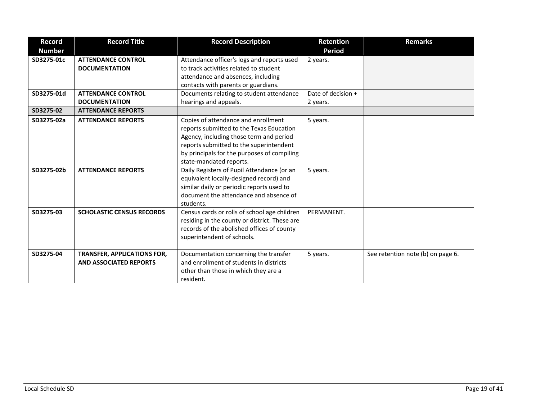| <b>Record</b><br><b>Number</b> | <b>Record Title</b>                                                 | <b>Record Description</b>                                                                                                                                                                                                                       | <b>Retention</b><br><b>Period</b> | <b>Remarks</b>                    |
|--------------------------------|---------------------------------------------------------------------|-------------------------------------------------------------------------------------------------------------------------------------------------------------------------------------------------------------------------------------------------|-----------------------------------|-----------------------------------|
| SD3275-01c                     | <b>ATTENDANCE CONTROL</b><br><b>DOCUMENTATION</b>                   | Attendance officer's logs and reports used<br>to track activities related to student<br>attendance and absences, including<br>contacts with parents or guardians.                                                                               | 2 years.                          |                                   |
| SD3275-01d                     | <b>ATTENDANCE CONTROL</b>                                           | Documents relating to student attendance                                                                                                                                                                                                        | Date of decision +                |                                   |
|                                | <b>DOCUMENTATION</b>                                                | hearings and appeals.                                                                                                                                                                                                                           | 2 years.                          |                                   |
| SD3275-02                      | <b>ATTENDANCE REPORTS</b>                                           |                                                                                                                                                                                                                                                 |                                   |                                   |
| SD3275-02a                     | <b>ATTENDANCE REPORTS</b>                                           | Copies of attendance and enrollment<br>reports submitted to the Texas Education<br>Agency, including those term and period<br>reports submitted to the superintendent<br>by principals for the purposes of compiling<br>state-mandated reports. | 5 years.                          |                                   |
| SD3275-02b                     | <b>ATTENDANCE REPORTS</b>                                           | Daily Registers of Pupil Attendance (or an<br>equivalent locally-designed record) and<br>similar daily or periodic reports used to<br>document the attendance and absence of<br>students.                                                       | 5 years.                          |                                   |
| SD3275-03                      | <b>SCHOLASTIC CENSUS RECORDS</b>                                    | Census cards or rolls of school age children<br>residing in the county or district. These are<br>records of the abolished offices of county<br>superintendent of schools.                                                                       | PERMANENT.                        |                                   |
| SD3275-04                      | <b>TRANSFER, APPLICATIONS FOR,</b><br><b>AND ASSOCIATED REPORTS</b> | Documentation concerning the transfer<br>and enrollment of students in districts<br>other than those in which they are a<br>resident.                                                                                                           | 5 years.                          | See retention note (b) on page 6. |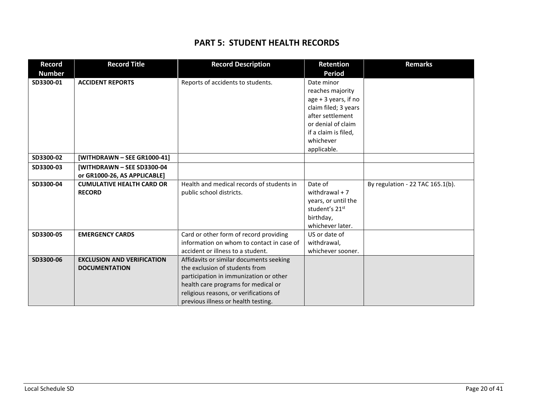### **PART 5: STUDENT HEALTH RECORDS**

| <b>Record</b> | <b>Record Title</b>               | <b>Record Description</b>                 | <b>Retention</b>           | <b>Remarks</b>                   |
|---------------|-----------------------------------|-------------------------------------------|----------------------------|----------------------------------|
| <b>Number</b> |                                   |                                           | <b>Period</b>              |                                  |
| SD3300-01     | <b>ACCIDENT REPORTS</b>           | Reports of accidents to students.         | Date minor                 |                                  |
|               |                                   |                                           | reaches majority           |                                  |
|               |                                   |                                           | age + 3 years, if no       |                                  |
|               |                                   |                                           | claim filed; 3 years       |                                  |
|               |                                   |                                           | after settlement           |                                  |
|               |                                   |                                           | or denial of claim         |                                  |
|               |                                   |                                           | if a claim is filed,       |                                  |
|               |                                   |                                           | whichever                  |                                  |
|               |                                   |                                           | applicable.                |                                  |
| SD3300-02     | [WITHDRAWN - SEE GR1000-41]       |                                           |                            |                                  |
| SD3300-03     | [WITHDRAWN - SEE SD3300-04        |                                           |                            |                                  |
|               | or GR1000-26, AS APPLICABLE]      |                                           |                            |                                  |
| SD3300-04     | <b>CUMULATIVE HEALTH CARD OR</b>  | Health and medical records of students in | Date of                    | By regulation - 22 TAC 165.1(b). |
|               | <b>RECORD</b>                     | public school districts.                  | withdrawal $+7$            |                                  |
|               |                                   |                                           | years, or until the        |                                  |
|               |                                   |                                           | student's 21 <sup>st</sup> |                                  |
|               |                                   |                                           | birthday,                  |                                  |
|               |                                   |                                           | whichever later.           |                                  |
| SD3300-05     | <b>EMERGENCY CARDS</b>            | Card or other form of record providing    | US or date of              |                                  |
|               |                                   | information on whom to contact in case of | withdrawal,                |                                  |
|               |                                   | accident or illness to a student.         | whichever sooner.          |                                  |
| SD3300-06     | <b>EXCLUSION AND VERIFICATION</b> | Affidavits or similar documents seeking   |                            |                                  |
|               | <b>DOCUMENTATION</b>              | the exclusion of students from            |                            |                                  |
|               |                                   | participation in immunization or other    |                            |                                  |
|               |                                   | health care programs for medical or       |                            |                                  |
|               |                                   | religious reasons, or verifications of    |                            |                                  |
|               |                                   | previous illness or health testing.       |                            |                                  |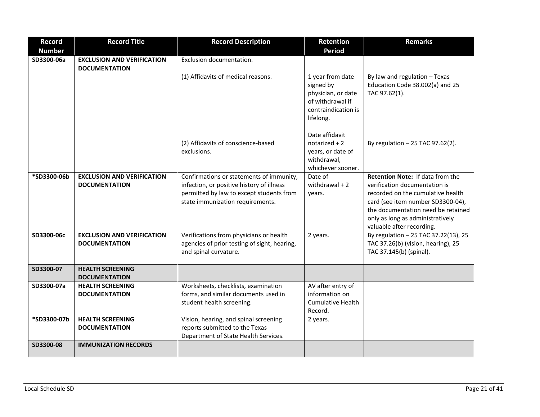| <b>Record</b> | <b>Record Title</b>                                       | <b>Record Description</b>                                                                                                                                             | Retention                                                                                                   | <b>Remarks</b>                                                                                                                                                                                                                                            |
|---------------|-----------------------------------------------------------|-----------------------------------------------------------------------------------------------------------------------------------------------------------------------|-------------------------------------------------------------------------------------------------------------|-----------------------------------------------------------------------------------------------------------------------------------------------------------------------------------------------------------------------------------------------------------|
| <b>Number</b> |                                                           |                                                                                                                                                                       | <b>Period</b>                                                                                               |                                                                                                                                                                                                                                                           |
| SD3300-06a    | <b>EXCLUSION AND VERIFICATION</b><br><b>DOCUMENTATION</b> | Exclusion documentation.                                                                                                                                              |                                                                                                             |                                                                                                                                                                                                                                                           |
|               |                                                           | (1) Affidavits of medical reasons.                                                                                                                                    | 1 year from date<br>signed by<br>physician, or date<br>of withdrawal if<br>contraindication is<br>lifelong. | By law and regulation - Texas<br>Education Code 38.002(a) and 25<br>TAC 97.62(1).                                                                                                                                                                         |
|               |                                                           | (2) Affidavits of conscience-based<br>exclusions.                                                                                                                     | Date affidavit<br>$notarized + 2$<br>years, or date of<br>withdrawal,<br>whichever sooner.                  | By regulation $-25$ TAC 97.62(2).                                                                                                                                                                                                                         |
| *SD3300-06b   | <b>EXCLUSION AND VERIFICATION</b><br><b>DOCUMENTATION</b> | Confirmations or statements of immunity,<br>infection, or positive history of illness<br>permitted by law to except students from<br>state immunization requirements. | Date of<br>withdrawal $+2$<br>years.                                                                        | <b>Retention Note: If data from the</b><br>verification documentation is<br>recorded on the cumulative health<br>card (see item number SD3300-04),<br>the documentation need be retained<br>only as long as administratively<br>valuable after recording. |
| SD3300-06c    | <b>EXCLUSION AND VERIFICATION</b><br><b>DOCUMENTATION</b> | Verifications from physicians or health<br>agencies of prior testing of sight, hearing,<br>and spinal curvature.                                                      | 2 years.                                                                                                    | By regulation - 25 TAC 37.22(13), 25<br>TAC 37.26(b) (vision, hearing), 25<br>TAC 37.145(b) (spinal).                                                                                                                                                     |
| SD3300-07     | <b>HEALTH SCREENING</b><br><b>DOCUMENTATION</b>           |                                                                                                                                                                       |                                                                                                             |                                                                                                                                                                                                                                                           |
| SD3300-07a    | <b>HEALTH SCREENING</b><br><b>DOCUMENTATION</b>           | Worksheets, checklists, examination<br>forms, and similar documents used in<br>student health screening.                                                              | AV after entry of<br>information on<br><b>Cumulative Health</b><br>Record.                                  |                                                                                                                                                                                                                                                           |
| *SD3300-07b   | <b>HEALTH SCREENING</b><br><b>DOCUMENTATION</b>           | Vision, hearing, and spinal screening<br>reports submitted to the Texas<br>Department of State Health Services.                                                       | 2 years.                                                                                                    |                                                                                                                                                                                                                                                           |
| SD3300-08     | <b>IMMUNIZATION RECORDS</b>                               |                                                                                                                                                                       |                                                                                                             |                                                                                                                                                                                                                                                           |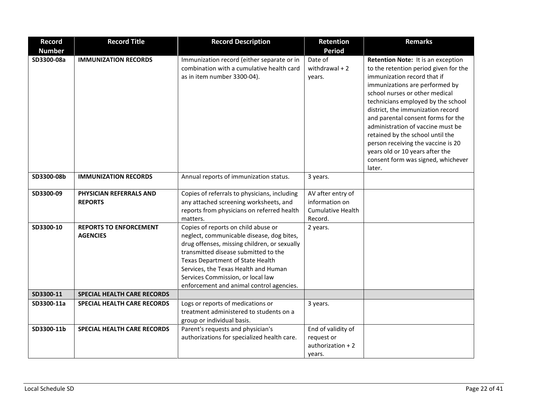| <b>Record</b> | <b>Record Title</b>                | <b>Record Description</b>                                                        | Retention                | <b>Remarks</b>                                                        |
|---------------|------------------------------------|----------------------------------------------------------------------------------|--------------------------|-----------------------------------------------------------------------|
| <b>Number</b> |                                    |                                                                                  | <b>Period</b>            |                                                                       |
| SD3300-08a    | <b>IMMUNIZATION RECORDS</b>        | Immunization record (either separate or in                                       | Date of                  | Retention Note: It is an exception                                    |
|               |                                    | combination with a cumulative health card                                        | withdrawal $+2$          | to the retention period given for the                                 |
|               |                                    | as in item number 3300-04).                                                      | years.                   | immunization record that if                                           |
|               |                                    |                                                                                  |                          | immunizations are performed by                                        |
|               |                                    |                                                                                  |                          | school nurses or other medical                                        |
|               |                                    |                                                                                  |                          | technicians employed by the school                                    |
|               |                                    |                                                                                  |                          | district, the immunization record                                     |
|               |                                    |                                                                                  |                          | and parental consent forms for the                                    |
|               |                                    |                                                                                  |                          | administration of vaccine must be                                     |
|               |                                    |                                                                                  |                          | retained by the school until the                                      |
|               |                                    |                                                                                  |                          | person receiving the vaccine is 20<br>years old or 10 years after the |
|               |                                    |                                                                                  |                          | consent form was signed, whichever                                    |
|               |                                    |                                                                                  |                          | later.                                                                |
| SD3300-08b    | <b>IMMUNIZATION RECORDS</b>        | Annual reports of immunization status.                                           | 3 years.                 |                                                                       |
|               |                                    |                                                                                  |                          |                                                                       |
| SD3300-09     | PHYSICIAN REFERRALS AND            | Copies of referrals to physicians, including                                     | AV after entry of        |                                                                       |
|               | <b>REPORTS</b>                     | any attached screening worksheets, and                                           | information on           |                                                                       |
|               |                                    | reports from physicians on referred health                                       | <b>Cumulative Health</b> |                                                                       |
|               |                                    | matters.                                                                         | Record.                  |                                                                       |
| SD3300-10     | <b>REPORTS TO ENFORCEMENT</b>      | Copies of reports on child abuse or                                              | 2 years.                 |                                                                       |
|               | <b>AGENCIES</b>                    | neglect, communicable disease, dog bites,                                        |                          |                                                                       |
|               |                                    | drug offenses, missing children, or sexually                                     |                          |                                                                       |
|               |                                    | transmitted disease submitted to the                                             |                          |                                                                       |
|               |                                    | Texas Department of State Health                                                 |                          |                                                                       |
|               |                                    | Services, the Texas Health and Human                                             |                          |                                                                       |
|               |                                    | Services Commission, or local law                                                |                          |                                                                       |
|               |                                    | enforcement and animal control agencies.                                         |                          |                                                                       |
| SD3300-11     | <b>SPECIAL HEALTH CARE RECORDS</b> |                                                                                  |                          |                                                                       |
| SD3300-11a    | SPECIAL HEALTH CARE RECORDS        | Logs or reports of medications or<br>treatment administered to students on a     | 3 years.                 |                                                                       |
|               |                                    |                                                                                  |                          |                                                                       |
| SD3300-11b    | <b>SPECIAL HEALTH CARE RECORDS</b> | group or individual basis.                                                       | End of validity of       |                                                                       |
|               |                                    | Parent's requests and physician's<br>authorizations for specialized health care. | request or               |                                                                       |
|               |                                    |                                                                                  | $authorization + 2$      |                                                                       |
|               |                                    |                                                                                  | years.                   |                                                                       |
|               |                                    |                                                                                  |                          |                                                                       |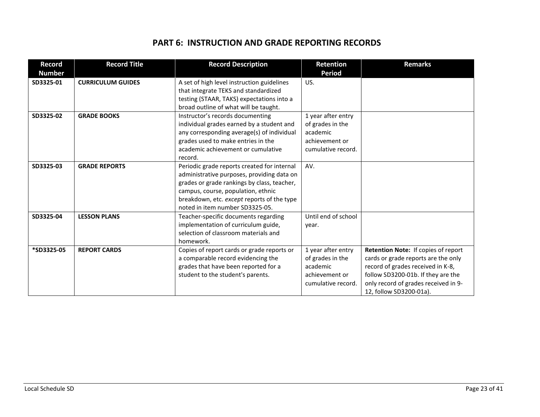### **PART 6: INSTRUCTION AND GRADE REPORTING RECORDS**

| <b>Record</b><br><b>Number</b> | <b>Record Title</b>      | <b>Record Description</b>                                                                                                                                                                                                                                       | <b>Retention</b><br><b>Period</b>                                                          | <b>Remarks</b>                                                                                                                                                                                                           |
|--------------------------------|--------------------------|-----------------------------------------------------------------------------------------------------------------------------------------------------------------------------------------------------------------------------------------------------------------|--------------------------------------------------------------------------------------------|--------------------------------------------------------------------------------------------------------------------------------------------------------------------------------------------------------------------------|
| SD3325-01                      | <b>CURRICULUM GUIDES</b> | A set of high level instruction guidelines<br>that integrate TEKS and standardized<br>testing (STAAR, TAKS) expectations into a<br>broad outline of what will be taught.                                                                                        | US.                                                                                        |                                                                                                                                                                                                                          |
| SD3325-02                      | <b>GRADE BOOKS</b>       | Instructor's records documenting<br>individual grades earned by a student and<br>any corresponding average(s) of individual<br>grades used to make entries in the<br>academic achievement or cumulative<br>record.                                              | 1 year after entry<br>of grades in the<br>academic<br>achievement or<br>cumulative record. |                                                                                                                                                                                                                          |
| SD3325-03                      | <b>GRADE REPORTS</b>     | Periodic grade reports created for internal<br>administrative purposes, providing data on<br>grades or grade rankings by class, teacher,<br>campus, course, population, ethnic<br>breakdown, etc. except reports of the type<br>noted in item number SD3325-05. | AV.                                                                                        |                                                                                                                                                                                                                          |
| SD3325-04                      | <b>LESSON PLANS</b>      | Teacher-specific documents regarding<br>implementation of curriculum guide,<br>selection of classroom materials and<br>homework.                                                                                                                                | Until end of school<br>year.                                                               |                                                                                                                                                                                                                          |
| *SD3325-05                     | <b>REPORT CARDS</b>      | Copies of report cards or grade reports or<br>a comparable record evidencing the<br>grades that have been reported for a<br>student to the student's parents.                                                                                                   | 1 year after entry<br>of grades in the<br>academic<br>achievement or<br>cumulative record. | Retention Note: If copies of report<br>cards or grade reports are the only<br>record of grades received in K-8,<br>follow SD3200-01b. If they are the<br>only record of grades received in 9-<br>12, follow SD3200-01a). |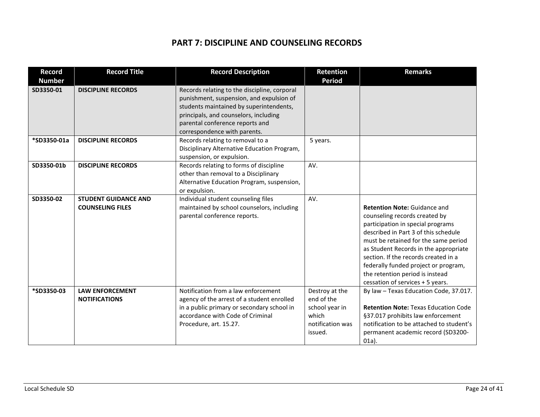# **PART 7: DISCIPLINE AND COUNSELING RECORDS**

| <b>Record</b><br><b>Number</b> | <b>Record Title</b>                                    | <b>Record Description</b>                                                                                                                                                                                                                       | Retention<br><b>Period</b>                                                             | <b>Remarks</b>                                                                                                                                                                                                                                                                                                                                                                            |
|--------------------------------|--------------------------------------------------------|-------------------------------------------------------------------------------------------------------------------------------------------------------------------------------------------------------------------------------------------------|----------------------------------------------------------------------------------------|-------------------------------------------------------------------------------------------------------------------------------------------------------------------------------------------------------------------------------------------------------------------------------------------------------------------------------------------------------------------------------------------|
| SD3350-01                      | <b>DISCIPLINE RECORDS</b>                              | Records relating to the discipline, corporal<br>punishment, suspension, and expulsion of<br>students maintained by superintendents,<br>principals, and counselors, including<br>parental conference reports and<br>correspondence with parents. |                                                                                        |                                                                                                                                                                                                                                                                                                                                                                                           |
| *SD3350-01a                    | <b>DISCIPLINE RECORDS</b>                              | Records relating to removal to a<br>Disciplinary Alternative Education Program,<br>suspension, or expulsion.                                                                                                                                    | 5 years.                                                                               |                                                                                                                                                                                                                                                                                                                                                                                           |
| SD3350-01b                     | <b>DISCIPLINE RECORDS</b>                              | Records relating to forms of discipline<br>other than removal to a Disciplinary<br>Alternative Education Program, suspension,<br>or expulsion.                                                                                                  | AV.                                                                                    |                                                                                                                                                                                                                                                                                                                                                                                           |
| SD3350-02                      | <b>STUDENT GUIDANCE AND</b><br><b>COUNSELING FILES</b> | Individual student counseling files<br>maintained by school counselors, including<br>parental conference reports.                                                                                                                               | AV.                                                                                    | <b>Retention Note: Guidance and</b><br>counseling records created by<br>participation in special programs<br>described in Part 3 of this schedule<br>must be retained for the same period<br>as Student Records in the appropriate<br>section. If the records created in a<br>federally funded project or program,<br>the retention period is instead<br>cessation of services + 5 years. |
| *SD3350-03                     | <b>LAW ENFORCEMENT</b><br><b>NOTIFICATIONS</b>         | Notification from a law enforcement<br>agency of the arrest of a student enrolled<br>in a public primary or secondary school in<br>accordance with Code of Criminal<br>Procedure, art. 15.27.                                                   | Destroy at the<br>end of the<br>school year in<br>which<br>notification was<br>issued. | By law - Texas Education Code, 37.017.<br><b>Retention Note: Texas Education Code</b><br>§37.017 prohibits law enforcement<br>notification to be attached to student's<br>permanent academic record (SD3200-<br>$01a$ ).                                                                                                                                                                  |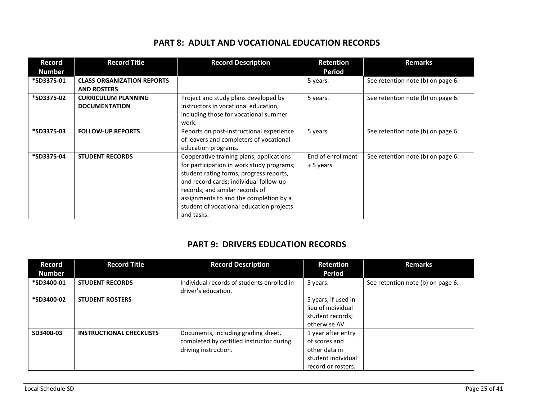|  |  | <b>PART 8: ADULT AND VOCATIONAL EDUCATION RECORDS</b> |  |  |  |
|--|--|-------------------------------------------------------|--|--|--|
|--|--|-------------------------------------------------------|--|--|--|

| Record        | <b>Record Title</b>               | <b>Record Description</b>                 | Retention         | <b>Remarks</b>                    |
|---------------|-----------------------------------|-------------------------------------------|-------------------|-----------------------------------|
| <b>Number</b> |                                   |                                           | Period            |                                   |
| *SD3375-01    | <b>CLASS ORGANIZATION REPORTS</b> |                                           | 5 years.          | See retention note (b) on page 6. |
|               | <b>AND ROSTERS</b>                |                                           |                   |                                   |
| *SD3375-02    | <b>CURRICULUM PLANNING</b>        | Project and study plans developed by      | 5 years.          | See retention note (b) on page 6. |
|               | <b>DOCUMENTATION</b>              | instructors in vocational education,      |                   |                                   |
|               |                                   | including those for vocational summer     |                   |                                   |
|               |                                   | work.                                     |                   |                                   |
| *SD3375-03    | <b>FOLLOW-UP REPORTS</b>          | Reports on post-instructional experience  | 5 years.          | See retention note (b) on page 6. |
|               |                                   | of leavers and completers of vocational   |                   |                                   |
|               |                                   | education programs.                       |                   |                                   |
| *SD3375-04    | <b>STUDENT RECORDS</b>            | Cooperative training plans; applications  | End of enrollment | See retention note (b) on page 6. |
|               |                                   | for participation in work study programs; | +5 years.         |                                   |
|               |                                   | student rating forms, progress reports,   |                   |                                   |
|               |                                   | and record cards; individual follow-up    |                   |                                   |
|               |                                   | records; and similar records of           |                   |                                   |
|               |                                   | assignments to and the completion by a    |                   |                                   |
|               |                                   | student of vocational education projects  |                   |                                   |
|               |                                   | and tasks.                                |                   |                                   |

# **PART 9: DRIVERS EDUCATION RECORDS**

| Record<br>Number | <b>Record Title</b>             | <b>Record Description</b>                                                                               | <b>Retention</b><br><b>Period</b>                                                                | <b>Remarks</b>                    |
|------------------|---------------------------------|---------------------------------------------------------------------------------------------------------|--------------------------------------------------------------------------------------------------|-----------------------------------|
| *SD3400-01       | <b>STUDENT RECORDS</b>          | Individual records of students enrolled in<br>driver's education.                                       | 5 years.                                                                                         | See retention note (b) on page 6. |
| *SD3400-02       | <b>STUDENT ROSTERS</b>          |                                                                                                         | 5 years, if used in<br>lieu of individual<br>student records;<br>otherwise AV.                   |                                   |
| SD3400-03        | <b>INSTRUCTIONAL CHECKLISTS</b> | Documents, including grading sheet,<br>completed by certified instructor during<br>driving instruction. | 1 year after entry<br>of scores and<br>other data in<br>student individual<br>record or rosters. |                                   |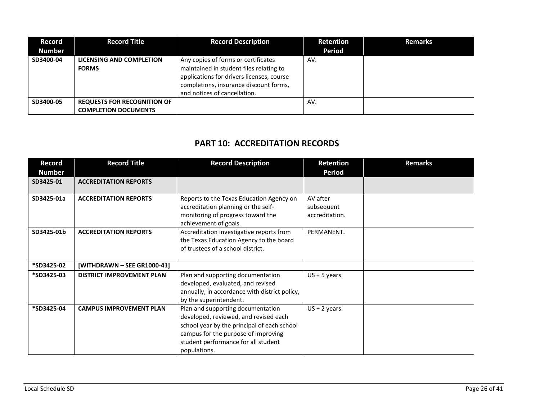| Record<br><b>Number</b> | <b>Record Title</b>                                               | <b>Record Description</b>                                                                                                                                                                             | Retention<br><b>Period</b> | <b>Remarks</b> |
|-------------------------|-------------------------------------------------------------------|-------------------------------------------------------------------------------------------------------------------------------------------------------------------------------------------------------|----------------------------|----------------|
| SD3400-04               | LICENSING AND COMPLETION<br><b>FORMS</b>                          | Any copies of forms or certificates<br>maintained in student files relating to<br>applications for drivers licenses, course<br>completions, insurance discount forms,<br>and notices of cancellation. | AV.                        |                |
| SD3400-05               | <b>REQUESTS FOR RECOGNITION OF</b><br><b>COMPLETION DOCUMENTS</b> |                                                                                                                                                                                                       | AV.                        |                |

### **PART 10: ACCREDITATION RECORDS**

| Record<br><b>Number</b> | <b>Record Title</b>              | <b>Record Description</b>                                                                                                                                                                                               | <b>Retention</b><br><b>Period</b>        | <b>Remarks</b> |
|-------------------------|----------------------------------|-------------------------------------------------------------------------------------------------------------------------------------------------------------------------------------------------------------------------|------------------------------------------|----------------|
| SD3425-01               | <b>ACCREDITATION REPORTS</b>     |                                                                                                                                                                                                                         |                                          |                |
| SD3425-01a              | <b>ACCREDITATION REPORTS</b>     | Reports to the Texas Education Agency on<br>accreditation planning or the self-<br>monitoring of progress toward the<br>achievement of goals.                                                                           | AV after<br>subsequent<br>accreditation. |                |
| SD3425-01b              | <b>ACCREDITATION REPORTS</b>     | Accreditation investigative reports from<br>the Texas Education Agency to the board<br>of trustees of a school district.                                                                                                | PERMANENT.                               |                |
| *SD3425-02              | [WITHDRAWN - SEE GR1000-41]      |                                                                                                                                                                                                                         |                                          |                |
| *SD3425-03              | <b>DISTRICT IMPROVEMENT PLAN</b> | Plan and supporting documentation<br>developed, evaluated, and revised<br>annually, in accordance with district policy,<br>by the superintendent.                                                                       | $US + 5$ years.                          |                |
| *SD3425-04              | <b>CAMPUS IMPROVEMENT PLAN</b>   | Plan and supporting documentation<br>developed, reviewed, and revised each<br>school year by the principal of each school<br>campus for the purpose of improving<br>student performance for all student<br>populations. | $US + 2$ years.                          |                |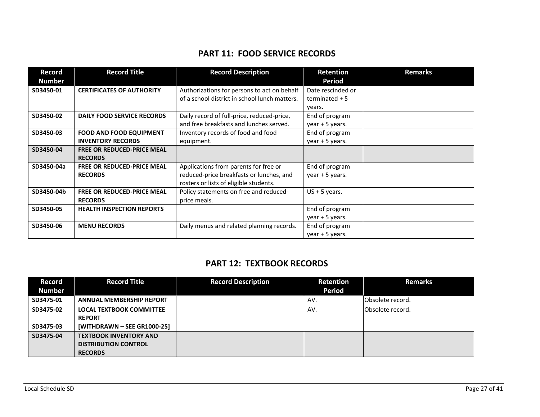### **PART 11: FOOD SERVICE RECORDS**

| <b>Record</b> | <b>Record Title</b>               | <b>Record Description</b>                     | Retention         | <b>Remarks</b> |
|---------------|-----------------------------------|-----------------------------------------------|-------------------|----------------|
| <b>Number</b> |                                   |                                               | Period            |                |
| SD3450-01     | <b>CERTIFICATES OF AUTHORITY</b>  | Authorizations for persons to act on behalf   | Date rescinded or |                |
|               |                                   | of a school district in school lunch matters. | terminated $+5$   |                |
|               |                                   |                                               | years.            |                |
| SD3450-02     | <b>DAILY FOOD SERVICE RECORDS</b> | Daily record of full-price, reduced-price,    | End of program    |                |
|               |                                   | and free breakfasts and lunches served.       | year $+5$ years.  |                |
| SD3450-03     | <b>FOOD AND FOOD EQUIPMENT</b>    | Inventory records of food and food            | End of program    |                |
|               | <b>INVENTORY RECORDS</b>          | equipment.                                    | year + 5 years.   |                |
| SD3450-04     | <b>FREE OR REDUCED-PRICE MEAL</b> |                                               |                   |                |
|               | <b>RECORDS</b>                    |                                               |                   |                |
| SD3450-04a    | <b>FREE OR REDUCED-PRICE MEAL</b> | Applications from parents for free or         | End of program    |                |
|               | <b>RECORDS</b>                    | reduced-price breakfasts or lunches, and      | year $+5$ years.  |                |
|               |                                   | rosters or lists of eligible students.        |                   |                |
| SD3450-04b    | <b>FREE OR REDUCED-PRICE MEAL</b> | Policy statements on free and reduced-        | $US + 5$ years.   |                |
|               | <b>RECORDS</b>                    | price meals.                                  |                   |                |
| SD3450-05     | <b>HEALTH INSPECTION REPORTS</b>  |                                               | End of program    |                |
|               |                                   |                                               | year $+5$ years.  |                |
| SD3450-06     | <b>MENU RECORDS</b>               | Daily menus and related planning records.     | End of program    |                |
|               |                                   |                                               | year + 5 years.   |                |

### **PART 12: TEXTBOOK RECORDS**

| Record        | <b>Record Title</b>             | <b>Record Description</b> | Retention     | <b>Remarks</b>    |
|---------------|---------------------------------|---------------------------|---------------|-------------------|
| <b>Number</b> |                                 |                           | <b>Period</b> |                   |
| SD3475-01     | <b>ANNUAL MEMBERSHIP REPORT</b> |                           | AV.           | Obsolete record.  |
| SD3475-02     | <b>LOCAL TEXTBOOK COMMITTEE</b> |                           | AV.           | lObsolete record. |
|               | <b>REPORT</b>                   |                           |               |                   |
| SD3475-03     | [WITHDRAWN - SEE GR1000-25]     |                           |               |                   |
| SD3475-04     | <b>TEXTBOOK INVENTORY AND</b>   |                           |               |                   |
|               | <b>DISTRIBUTION CONTROL</b>     |                           |               |                   |
|               | <b>RECORDS</b>                  |                           |               |                   |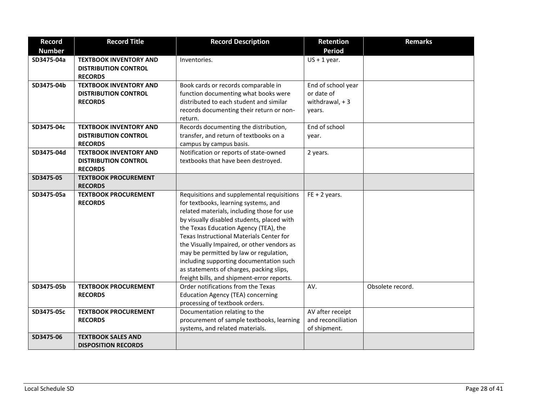| <b>Record</b> | <b>Record Title</b>           | <b>Record Description</b>                  | <b>Retention</b>   | <b>Remarks</b>   |
|---------------|-------------------------------|--------------------------------------------|--------------------|------------------|
| <b>Number</b> |                               |                                            | <b>Period</b>      |                  |
| SD3475-04a    | <b>TEXTBOOK INVENTORY AND</b> | Inventories.                               | $US + 1$ year.     |                  |
|               | <b>DISTRIBUTION CONTROL</b>   |                                            |                    |                  |
|               | <b>RECORDS</b>                |                                            |                    |                  |
| SD3475-04b    | <b>TEXTBOOK INVENTORY AND</b> | Book cards or records comparable in        | End of school year |                  |
|               | <b>DISTRIBUTION CONTROL</b>   | function documenting what books were       | or date of         |                  |
|               | <b>RECORDS</b>                | distributed to each student and similar    | withdrawal, $+3$   |                  |
|               |                               | records documenting their return or non-   | years.             |                  |
|               |                               | return.                                    |                    |                  |
| SD3475-04c    | <b>TEXTBOOK INVENTORY AND</b> | Records documenting the distribution,      | End of school      |                  |
|               | <b>DISTRIBUTION CONTROL</b>   | transfer, and return of textbooks on a     | year.              |                  |
|               | <b>RECORDS</b>                | campus by campus basis.                    |                    |                  |
| SD3475-04d    | <b>TEXTBOOK INVENTORY AND</b> | Notification or reports of state-owned     | 2 years.           |                  |
|               | <b>DISTRIBUTION CONTROL</b>   | textbooks that have been destroyed.        |                    |                  |
|               | <b>RECORDS</b>                |                                            |                    |                  |
| SD3475-05     | <b>TEXTBOOK PROCUREMENT</b>   |                                            |                    |                  |
|               | <b>RECORDS</b>                |                                            |                    |                  |
| SD3475-05a    | <b>TEXTBOOK PROCUREMENT</b>   | Requisitions and supplemental requisitions | $FE + 2 years.$    |                  |
|               | <b>RECORDS</b>                | for textbooks, learning systems, and       |                    |                  |
|               |                               | related materials, including those for use |                    |                  |
|               |                               | by visually disabled students, placed with |                    |                  |
|               |                               | the Texas Education Agency (TEA), the      |                    |                  |
|               |                               | Texas Instructional Materials Center for   |                    |                  |
|               |                               | the Visually Impaired, or other vendors as |                    |                  |
|               |                               | may be permitted by law or regulation,     |                    |                  |
|               |                               | including supporting documentation such    |                    |                  |
|               |                               | as statements of charges, packing slips,   |                    |                  |
|               |                               | freight bills, and shipment-error reports. |                    |                  |
| SD3475-05b    | <b>TEXTBOOK PROCUREMENT</b>   | Order notifications from the Texas         | AV.                | Obsolete record. |
|               | <b>RECORDS</b>                | <b>Education Agency (TEA) concerning</b>   |                    |                  |
|               |                               | processing of textbook orders.             |                    |                  |
| SD3475-05c    | <b>TEXTBOOK PROCUREMENT</b>   | Documentation relating to the              | AV after receipt   |                  |
|               | <b>RECORDS</b>                | procurement of sample textbooks, learning  | and reconciliation |                  |
|               |                               | systems, and related materials.            | of shipment.       |                  |
| SD3475-06     | <b>TEXTBOOK SALES AND</b>     |                                            |                    |                  |
|               | <b>DISPOSITION RECORDS</b>    |                                            |                    |                  |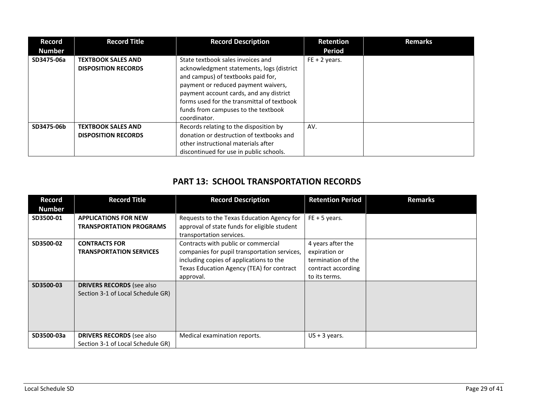| Record<br><b>Number</b> | <b>Record Title</b>                                     | <b>Record Description</b>                                                                                                                                                                                                                                                                                   | <b>Retention</b><br><b>Period</b> | <b>Remarks</b> |
|-------------------------|---------------------------------------------------------|-------------------------------------------------------------------------------------------------------------------------------------------------------------------------------------------------------------------------------------------------------------------------------------------------------------|-----------------------------------|----------------|
| SD3475-06a              | <b>TEXTBOOK SALES AND</b><br><b>DISPOSITION RECORDS</b> | State textbook sales invoices and<br>acknowledgment statements, logs (district<br>and campus) of textbooks paid for,<br>payment or reduced payment waivers,<br>payment account cards, and any district<br>forms used for the transmittal of textbook<br>funds from campuses to the textbook<br>coordinator. | $FE + 2 \text{ years}.$           |                |
| SD3475-06b              | <b>TEXTBOOK SALES AND</b><br><b>DISPOSITION RECORDS</b> | Records relating to the disposition by<br>donation or destruction of textbooks and<br>other instructional materials after<br>discontinued for use in public schools.                                                                                                                                        | AV.                               |                |

# **PART 13: SCHOOL TRANSPORTATION RECORDS**

| <b>Record</b> | <b>Record Title</b>               | <b>Record Description</b>                    | <b>Retention Period</b> | <b>Remarks</b> |
|---------------|-----------------------------------|----------------------------------------------|-------------------------|----------------|
| <b>Number</b> |                                   |                                              |                         |                |
| SD3500-01     | <b>APPLICATIONS FOR NEW</b>       | Requests to the Texas Education Agency for   | $FE + 5 years$ .        |                |
|               | <b>TRANSPORTATION PROGRAMS</b>    | approval of state funds for eligible student |                         |                |
|               |                                   | transportation services.                     |                         |                |
| SD3500-02     | <b>CONTRACTS FOR</b>              | Contracts with public or commercial          | 4 years after the       |                |
|               | <b>TRANSPORTATION SERVICES</b>    | companies for pupil transportation services, | expiration or           |                |
|               |                                   | including copies of applications to the      | termination of the      |                |
|               |                                   | Texas Education Agency (TEA) for contract    | contract according      |                |
|               |                                   | approval.                                    | to its terms.           |                |
| SD3500-03     | <b>DRIVERS RECORDS</b> (see also  |                                              |                         |                |
|               | Section 3-1 of Local Schedule GR) |                                              |                         |                |
|               |                                   |                                              |                         |                |
|               |                                   |                                              |                         |                |
|               |                                   |                                              |                         |                |
|               |                                   |                                              |                         |                |
| SD3500-03a    | <b>DRIVERS RECORDS</b> (see also  | Medical examination reports.                 | $US + 3$ years.         |                |
|               | Section 3-1 of Local Schedule GR) |                                              |                         |                |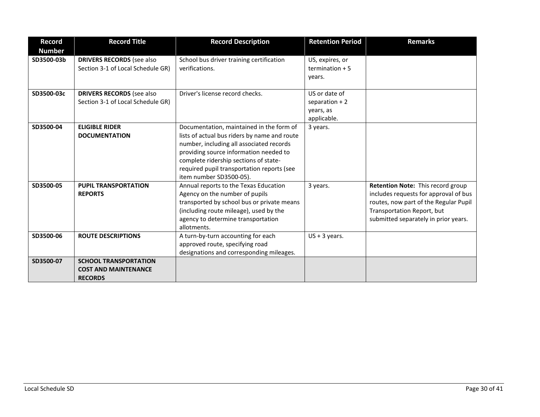| <b>Record</b><br><b>Number</b> | <b>Record Title</b>                                                           | <b>Record Description</b>                                                                                                                                                                                                                                                                        | <b>Retention Period</b>                                      | <b>Remarks</b>                                                                                                                                                                            |
|--------------------------------|-------------------------------------------------------------------------------|--------------------------------------------------------------------------------------------------------------------------------------------------------------------------------------------------------------------------------------------------------------------------------------------------|--------------------------------------------------------------|-------------------------------------------------------------------------------------------------------------------------------------------------------------------------------------------|
| SD3500-03b                     | <b>DRIVERS RECORDS</b> (see also<br>Section 3-1 of Local Schedule GR)         | School bus driver training certification<br>verifications.                                                                                                                                                                                                                                       | US, expires, or<br>termination $+5$<br>years.                |                                                                                                                                                                                           |
| SD3500-03c                     | <b>DRIVERS RECORDS</b> (see also<br>Section 3-1 of Local Schedule GR)         | Driver's license record checks.                                                                                                                                                                                                                                                                  | US or date of<br>separation $+2$<br>years, as<br>applicable. |                                                                                                                                                                                           |
| SD3500-04                      | <b>ELIGIBLE RIDER</b><br><b>DOCUMENTATION</b>                                 | Documentation, maintained in the form of<br>lists of actual bus riders by name and route<br>number, including all associated records<br>providing source information needed to<br>complete ridership sections of state-<br>required pupil transportation reports (see<br>item number SD3500-05). | 3 years.                                                     |                                                                                                                                                                                           |
| SD3500-05                      | <b>PUPIL TRANSPORTATION</b><br><b>REPORTS</b>                                 | Annual reports to the Texas Education<br>Agency on the number of pupils<br>transported by school bus or private means<br>(including route mileage), used by the<br>agency to determine transportation<br>allotments.                                                                             | 3 years.                                                     | Retention Note: This record group<br>includes requests for approval of bus<br>routes, now part of the Regular Pupil<br>Transportation Report, but<br>submitted separately in prior years. |
| SD3500-06                      | <b>ROUTE DESCRIPTIONS</b>                                                     | A turn-by-turn accounting for each<br>approved route, specifying road<br>designations and corresponding mileages.                                                                                                                                                                                | $US + 3$ years.                                              |                                                                                                                                                                                           |
| SD3500-07                      | <b>SCHOOL TRANSPORTATION</b><br><b>COST AND MAINTENANCE</b><br><b>RECORDS</b> |                                                                                                                                                                                                                                                                                                  |                                                              |                                                                                                                                                                                           |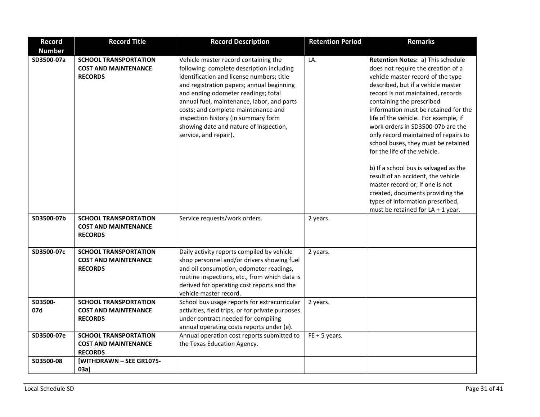| <b>Record</b>  | <b>Record Title</b>                                                           | <b>Record Description</b>                                                                                                                                                                                                                                                                                                                                                                                         | <b>Retention Period</b> | <b>Remarks</b>                                                                                                                                                                                                                                                                                                                                                                                                                                                                                                                                                                                                                                                                            |
|----------------|-------------------------------------------------------------------------------|-------------------------------------------------------------------------------------------------------------------------------------------------------------------------------------------------------------------------------------------------------------------------------------------------------------------------------------------------------------------------------------------------------------------|-------------------------|-------------------------------------------------------------------------------------------------------------------------------------------------------------------------------------------------------------------------------------------------------------------------------------------------------------------------------------------------------------------------------------------------------------------------------------------------------------------------------------------------------------------------------------------------------------------------------------------------------------------------------------------------------------------------------------------|
| <b>Number</b>  |                                                                               |                                                                                                                                                                                                                                                                                                                                                                                                                   |                         |                                                                                                                                                                                                                                                                                                                                                                                                                                                                                                                                                                                                                                                                                           |
| SD3500-07a     | <b>SCHOOL TRANSPORTATION</b><br><b>COST AND MAINTENANCE</b><br><b>RECORDS</b> | Vehicle master record containing the<br>following: complete description including<br>identification and license numbers; title<br>and registration papers; annual beginning<br>and ending odometer readings; total<br>annual fuel, maintenance, labor, and parts<br>costs; and complete maintenance and<br>inspection history (in summary form<br>showing date and nature of inspection,<br>service, and repair). | LA.                     | Retention Notes: a) This schedule<br>does not require the creation of a<br>vehicle master record of the type<br>described, but if a vehicle master<br>record is not maintained, records<br>containing the prescribed<br>information must be retained for the<br>life of the vehicle. For example, if<br>work orders in SD3500-07b are the<br>only record maintained of repairs to<br>school buses, they must be retained<br>for the life of the vehicle.<br>b) If a school bus is salvaged as the<br>result of an accident, the vehicle<br>master record or, if one is not<br>created, documents providing the<br>types of information prescribed,<br>must be retained for $LA + 1$ year. |
| SD3500-07b     | <b>SCHOOL TRANSPORTATION</b><br><b>COST AND MAINTENANCE</b><br><b>RECORDS</b> | Service requests/work orders.                                                                                                                                                                                                                                                                                                                                                                                     | 2 years.                |                                                                                                                                                                                                                                                                                                                                                                                                                                                                                                                                                                                                                                                                                           |
| SD3500-07c     | <b>SCHOOL TRANSPORTATION</b><br><b>COST AND MAINTENANCE</b><br><b>RECORDS</b> | Daily activity reports compiled by vehicle<br>shop personnel and/or drivers showing fuel<br>and oil consumption, odometer readings,<br>routine inspections, etc., from which data is<br>derived for operating cost reports and the<br>vehicle master record.                                                                                                                                                      | 2 years.                |                                                                                                                                                                                                                                                                                                                                                                                                                                                                                                                                                                                                                                                                                           |
| SD3500-<br>07d | <b>SCHOOL TRANSPORTATION</b><br><b>COST AND MAINTENANCE</b><br><b>RECORDS</b> | School bus usage reports for extracurricular<br>activities, field trips, or for private purposes<br>under contract needed for compiling<br>annual operating costs reports under (e).                                                                                                                                                                                                                              | 2 years.                |                                                                                                                                                                                                                                                                                                                                                                                                                                                                                                                                                                                                                                                                                           |
| SD3500-07e     | <b>SCHOOL TRANSPORTATION</b><br><b>COST AND MAINTENANCE</b><br><b>RECORDS</b> | Annual operation cost reports submitted to<br>the Texas Education Agency.                                                                                                                                                                                                                                                                                                                                         | $FE + 5 years$ .        |                                                                                                                                                                                                                                                                                                                                                                                                                                                                                                                                                                                                                                                                                           |
| SD3500-08      | [WITHDRAWN - SEE GR1075-<br>$03a$ ]                                           |                                                                                                                                                                                                                                                                                                                                                                                                                   |                         |                                                                                                                                                                                                                                                                                                                                                                                                                                                                                                                                                                                                                                                                                           |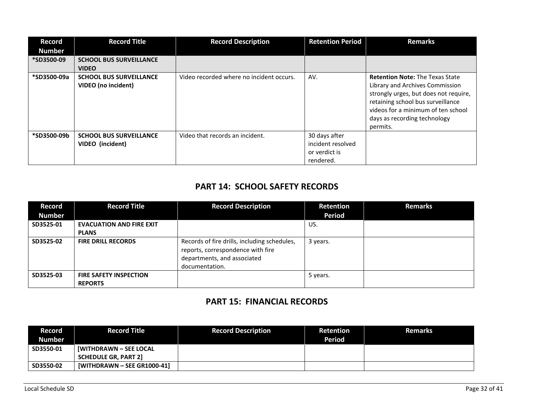| <b>Record</b><br><b>Number</b> | <b>Record Title</b>                                   | <b>Record Description</b>                | <b>Retention Period</b>                                          | <b>Remarks</b>                                                                                                                                                                                                                            |
|--------------------------------|-------------------------------------------------------|------------------------------------------|------------------------------------------------------------------|-------------------------------------------------------------------------------------------------------------------------------------------------------------------------------------------------------------------------------------------|
| *SD3500-09                     | <b>SCHOOL BUS SURVEILLANCE</b><br><b>VIDEO</b>        |                                          |                                                                  |                                                                                                                                                                                                                                           |
| *SD3500-09a                    | <b>SCHOOL BUS SURVEILLANCE</b><br>VIDEO (no incident) | Video recorded where no incident occurs. | AV.                                                              | <b>Retention Note: The Texas State</b><br>Library and Archives Commission<br>strongly urges, but does not require,<br>retaining school bus surveillance<br>videos for a minimum of ten school<br>days as recording technology<br>permits. |
| *SD3500-09b                    | <b>SCHOOL BUS SURVEILLANCE</b><br>VIDEO (incident)    | Video that records an incident.          | 30 days after<br>incident resolved<br>or verdict is<br>rendered. |                                                                                                                                                                                                                                           |

### **PART 14: SCHOOL SAFETY RECORDS**

| Record        | <b>Record Title</b>             | <b>Record Description</b>                                                                                                          | Retention     | <b>Remarks</b> |
|---------------|---------------------------------|------------------------------------------------------------------------------------------------------------------------------------|---------------|----------------|
| <b>Number</b> |                                 |                                                                                                                                    | <b>Period</b> |                |
| SD3525-01     | <b>EVACUATION AND FIRE EXIT</b> |                                                                                                                                    | US.           |                |
|               | <b>PLANS</b>                    |                                                                                                                                    |               |                |
| SD3525-02     | <b>FIRE DRILL RECORDS</b>       | Records of fire drills, including schedules,<br>reports, correspondence with fire<br>departments, and associated<br>documentation. | 3 years.      |                |
| SD3525-03     | <b>FIRE SAFETY INSPECTION</b>   |                                                                                                                                    | 5 years.      |                |
|               | <b>REPORTS</b>                  |                                                                                                                                    |               |                |

### **PART 15: FINANCIAL RECORDS**

| Record        | <b>Record Title</b>           | <b>Record Description</b> | <b>Retention</b> | <b>Remarks</b> |
|---------------|-------------------------------|---------------------------|------------------|----------------|
| <b>Number</b> |                               |                           | <b>Period</b>    |                |
| SD3550-01     | <b>IWITHDRAWN – SEE LOCAL</b> |                           |                  |                |
|               | <b>SCHEDULE GR, PART 2]</b>   |                           |                  |                |
| SD3550-02     | [WITHDRAWN - SEE GR1000-41]   |                           |                  |                |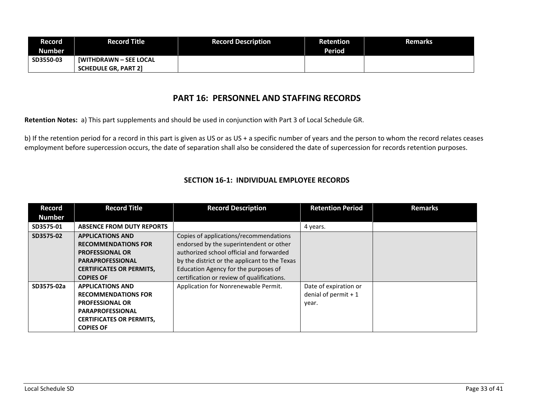| <b>Record</b> | Record Title                  | <b>Record Description</b> | Retention     | <b>Remarks</b> |
|---------------|-------------------------------|---------------------------|---------------|----------------|
| <b>Number</b> |                               |                           | <b>Period</b> |                |
| SD3550-03     | <b>IWITHDRAWN - SEE LOCAL</b> |                           |               |                |
|               | <b>SCHEDULE GR. PART 21</b>   |                           |               |                |

#### **PART 16: PERSONNEL AND STAFFING RECORDS**

**Retention Notes:** a) This part supplements and should be used in conjunction with Part 3 of Local Schedule GR.

b) If the retention period for a record in this part is given as US or as US + a specific number of years and the person to whom the record relates ceases employment before supercession occurs, the date of separation shall also be considered the date of supercession for records retention purposes.

#### **SECTION 16-1: INDIVIDUAL EMPLOYEE RECORDS**

| <b>Record</b> | <b>Record Title</b>              | <b>Record Description</b>                     | <b>Retention Period</b> | <b>Remarks</b> |
|---------------|----------------------------------|-----------------------------------------------|-------------------------|----------------|
| <b>Number</b> |                                  |                                               |                         |                |
| SD3575-01     | <b>ABSENCE FROM DUTY REPORTS</b> |                                               | 4 years.                |                |
| SD3575-02     | <b>APPLICATIONS AND</b>          | Copies of applications/recommendations        |                         |                |
|               | <b>RECOMMENDATIONS FOR</b>       | endorsed by the superintendent or other       |                         |                |
|               | <b>PROFESSIONAL OR</b>           | authorized school official and forwarded      |                         |                |
|               | <b>PARAPROFESSIONAL</b>          | by the district or the applicant to the Texas |                         |                |
|               | <b>CERTIFICATES OR PERMITS,</b>  | Education Agency for the purposes of          |                         |                |
|               | <b>COPIES OF</b>                 | certification or review of qualifications.    |                         |                |
| SD3575-02a    | <b>APPLICATIONS AND</b>          | Application for Nonrenewable Permit.          | Date of expiration or   |                |
|               | <b>RECOMMENDATIONS FOR</b>       |                                               | denial of permit $+1$   |                |
|               | <b>PROFESSIONAL OR</b>           |                                               | year.                   |                |
|               | <b>PARAPROFESSIONAL</b>          |                                               |                         |                |
|               | <b>CERTIFICATES OR PERMITS,</b>  |                                               |                         |                |
|               | <b>COPIES OF</b>                 |                                               |                         |                |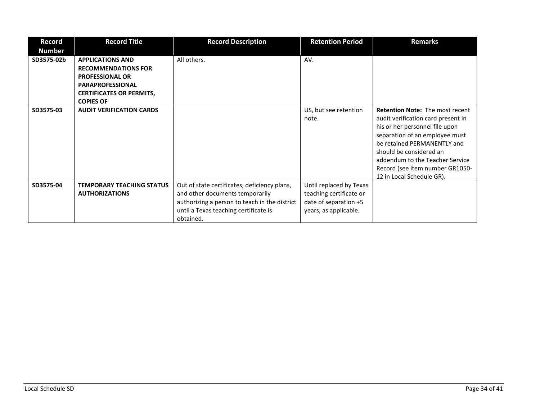| Record<br><b>Number</b> | <b>Record Title</b>                                                                                                                                               | <b>Record Description</b>                                                                                                                                                              | <b>Retention Period</b>                                                                              | <b>Remarks</b>                                                                                                                                                                                                                                                                                                |
|-------------------------|-------------------------------------------------------------------------------------------------------------------------------------------------------------------|----------------------------------------------------------------------------------------------------------------------------------------------------------------------------------------|------------------------------------------------------------------------------------------------------|---------------------------------------------------------------------------------------------------------------------------------------------------------------------------------------------------------------------------------------------------------------------------------------------------------------|
| SD3575-02b              | <b>APPLICATIONS AND</b><br><b>RECOMMENDATIONS FOR</b><br><b>PROFESSIONAL OR</b><br><b>PARAPROFESSIONAL</b><br><b>CERTIFICATES OR PERMITS,</b><br><b>COPIES OF</b> | All others.                                                                                                                                                                            | AV.                                                                                                  |                                                                                                                                                                                                                                                                                                               |
| SD3575-03               | <b>AUDIT VERIFICATION CARDS</b>                                                                                                                                   |                                                                                                                                                                                        | US, but see retention<br>note.                                                                       | <b>Retention Note: The most recent</b><br>audit verification card present in<br>his or her personnel file upon<br>separation of an employee must<br>be retained PERMANENTLY and<br>should be considered an<br>addendum to the Teacher Service<br>Record (see item number GR1050-<br>12 in Local Schedule GR). |
| SD3575-04               | <b>TEMPORARY TEACHING STATUS</b><br><b>AUTHORIZATIONS</b>                                                                                                         | Out of state certificates, deficiency plans,<br>and other documents temporarily<br>authorizing a person to teach in the district<br>until a Texas teaching certificate is<br>obtained. | Until replaced by Texas<br>teaching certificate or<br>date of separation +5<br>years, as applicable. |                                                                                                                                                                                                                                                                                                               |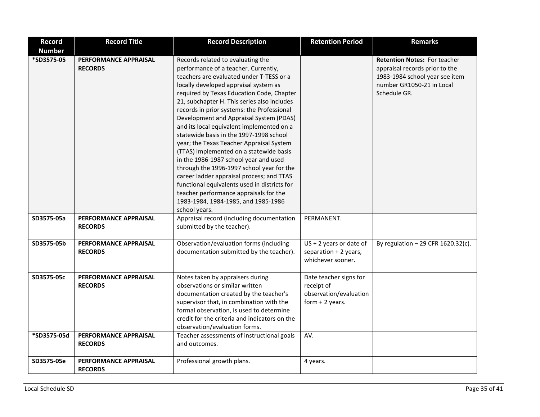| <b>Record</b> | <b>Record Title</b>                     | <b>Record Description</b>                                                                                                                                                                                                                                                                                                                                                                                                                                                                                                                                                                                                                                                                                                                                                                                               | <b>Retention Period</b>                                                            | <b>Remarks</b>                                                                                                                                       |
|---------------|-----------------------------------------|-------------------------------------------------------------------------------------------------------------------------------------------------------------------------------------------------------------------------------------------------------------------------------------------------------------------------------------------------------------------------------------------------------------------------------------------------------------------------------------------------------------------------------------------------------------------------------------------------------------------------------------------------------------------------------------------------------------------------------------------------------------------------------------------------------------------------|------------------------------------------------------------------------------------|------------------------------------------------------------------------------------------------------------------------------------------------------|
| <b>Number</b> |                                         |                                                                                                                                                                                                                                                                                                                                                                                                                                                                                                                                                                                                                                                                                                                                                                                                                         |                                                                                    |                                                                                                                                                      |
| *SD3575-05    | PERFORMANCE APPRAISAL<br><b>RECORDS</b> | Records related to evaluating the<br>performance of a teacher. Currently,<br>teachers are evaluated under T-TESS or a<br>locally developed appraisal system as<br>required by Texas Education Code, Chapter<br>21, subchapter H. This series also includes<br>records in prior systems: the Professional<br>Development and Appraisal System (PDAS)<br>and its local equivalent implemented on a<br>statewide basis in the 1997-1998 school<br>year; the Texas Teacher Appraisal System<br>(TTAS) implemented on a statewide basis<br>in the 1986-1987 school year and used<br>through the 1996-1997 school year for the<br>career ladder appraisal process; and TTAS<br>functional equivalents used in districts for<br>teacher performance appraisals for the<br>1983-1984, 1984-1985, and 1985-1986<br>school years. |                                                                                    | <b>Retention Notes: For teacher</b><br>appraisal records prior to the<br>1983-1984 school year see item<br>number GR1050-21 in Local<br>Schedule GR. |
| SD3575-05a    | PERFORMANCE APPRAISAL<br><b>RECORDS</b> | Appraisal record (including documentation<br>submitted by the teacher).                                                                                                                                                                                                                                                                                                                                                                                                                                                                                                                                                                                                                                                                                                                                                 | PERMANENT.                                                                         |                                                                                                                                                      |
| SD3575-05b    | PERFORMANCE APPRAISAL<br><b>RECORDS</b> | Observation/evaluation forms (including<br>documentation submitted by the teacher).                                                                                                                                                                                                                                                                                                                                                                                                                                                                                                                                                                                                                                                                                                                                     | $US + 2$ years or date of<br>separation + 2 years,<br>whichever sooner.            | By regulation $-29$ CFR 1620.32(c).                                                                                                                  |
| SD3575-05c    | PERFORMANCE APPRAISAL<br><b>RECORDS</b> | Notes taken by appraisers during<br>observations or similar written<br>documentation created by the teacher's<br>supervisor that, in combination with the<br>formal observation, is used to determine<br>credit for the criteria and indicators on the<br>observation/evaluation forms.                                                                                                                                                                                                                                                                                                                                                                                                                                                                                                                                 | Date teacher signs for<br>receipt of<br>observation/evaluation<br>form $+2$ years. |                                                                                                                                                      |
| *SD3575-05d   | PERFORMANCE APPRAISAL<br><b>RECORDS</b> | Teacher assessments of instructional goals<br>and outcomes.                                                                                                                                                                                                                                                                                                                                                                                                                                                                                                                                                                                                                                                                                                                                                             | AV.                                                                                |                                                                                                                                                      |
| SD3575-05e    | PERFORMANCE APPRAISAL<br><b>RECORDS</b> | Professional growth plans.                                                                                                                                                                                                                                                                                                                                                                                                                                                                                                                                                                                                                                                                                                                                                                                              | 4 years.                                                                           |                                                                                                                                                      |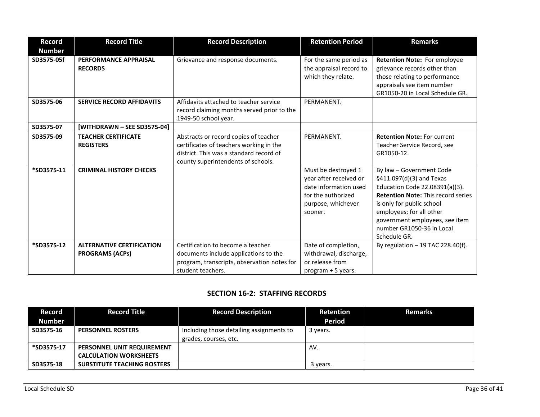| <b>Record</b> | <b>Record Title</b>                                        | <b>Record Description</b>                                                                                                                                         | <b>Retention Period</b>                                                                                                       | <b>Remarks</b>                                                                                                                                                                                                                                                              |
|---------------|------------------------------------------------------------|-------------------------------------------------------------------------------------------------------------------------------------------------------------------|-------------------------------------------------------------------------------------------------------------------------------|-----------------------------------------------------------------------------------------------------------------------------------------------------------------------------------------------------------------------------------------------------------------------------|
| <b>Number</b> |                                                            |                                                                                                                                                                   |                                                                                                                               |                                                                                                                                                                                                                                                                             |
| SD3575-05f    | PERFORMANCE APPRAISAL<br><b>RECORDS</b>                    | Grievance and response documents.                                                                                                                                 | For the same period as<br>the appraisal record to<br>which they relate.                                                       | Retention Note: For employee<br>grievance records other than<br>those relating to performance<br>appraisals see item number<br>GR1050-20 in Local Schedule GR.                                                                                                              |
| SD3575-06     | <b>SERVICE RECORD AFFIDAVITS</b>                           | Affidavits attached to teacher service<br>record claiming months served prior to the<br>1949-50 school year.                                                      | PERMANENT.                                                                                                                    |                                                                                                                                                                                                                                                                             |
| SD3575-07     | [WITHDRAWN - SEE SD3575-04]                                |                                                                                                                                                                   |                                                                                                                               |                                                                                                                                                                                                                                                                             |
| SD3575-09     | <b>TEACHER CERTIFICATE</b><br><b>REGISTERS</b>             | Abstracts or record copies of teacher<br>certificates of teachers working in the<br>district. This was a standard record of<br>county superintendents of schools. | PERMANENT.                                                                                                                    | <b>Retention Note: For current</b><br>Teacher Service Record, see<br>GR1050-12.                                                                                                                                                                                             |
| *SD3575-11    | <b>CRIMINAL HISTORY CHECKS</b>                             |                                                                                                                                                                   | Must be destroyed 1<br>year after received or<br>date information used<br>for the authorized<br>purpose, whichever<br>sooner. | By law - Government Code<br>§411.097(d)(3) and Texas<br>Education Code 22.08391(a)(3).<br><b>Retention Note: This record series</b><br>is only for public school<br>employees; for all other<br>government employees, see item<br>number GR1050-36 in Local<br>Schedule GR. |
| *SD3575-12    | <b>ALTERNATIVE CERTIFICATION</b><br><b>PROGRAMS (ACPs)</b> | Certification to become a teacher<br>documents include applications to the<br>program, transcripts, observation notes for<br>student teachers.                    | Date of completion,<br>withdrawal, discharge,<br>or release from<br>program + 5 years.                                        | By regulation $-19$ TAC 228.40(f).                                                                                                                                                                                                                                          |

#### **SECTION 16-2: STAFFING RECORDS**

| Record<br><b>Number</b> | <b>Record Title</b>                                         | <b>Record Description</b>                                         | <b>Retention</b><br><b>Period</b> | <b>Remarks</b> |
|-------------------------|-------------------------------------------------------------|-------------------------------------------------------------------|-----------------------------------|----------------|
| SD3575-16               | <b>PERSONNEL ROSTERS</b>                                    | Including those detailing assignments to<br>grades, courses, etc. | 3 years.                          |                |
| *SD3575-17              | PERSONNEL UNIT REQUIREMENT<br><b>CALCULATION WORKSHEETS</b> |                                                                   | AV.                               |                |
| SD3575-18               | <b>SUBSTITUTE TEACHING ROSTERS</b>                          |                                                                   | 3 years.                          |                |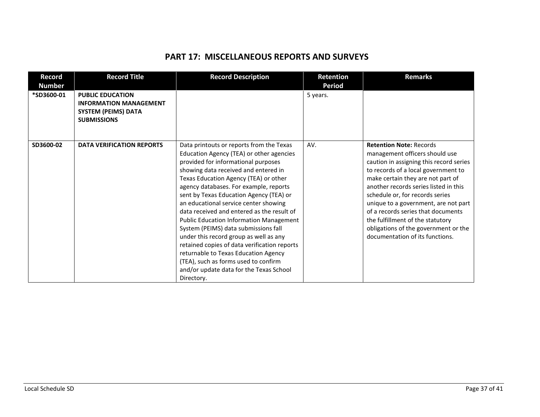#### **PART 17: MISCELLANEOUS REPORTS AND SURVEYS**

| <b>Record</b><br><b>Number</b> | <b>Record Title</b>                                                                                          | <b>Record Description</b>                                                                                                                                                                                                                                                                                                                                                                                                                                                                                                                                                                                                                                                                                             | Retention<br><b>Period</b> | <b>Remarks</b>                                                                                                                                                                                                                                                                                                                                                                                                                                                   |
|--------------------------------|--------------------------------------------------------------------------------------------------------------|-----------------------------------------------------------------------------------------------------------------------------------------------------------------------------------------------------------------------------------------------------------------------------------------------------------------------------------------------------------------------------------------------------------------------------------------------------------------------------------------------------------------------------------------------------------------------------------------------------------------------------------------------------------------------------------------------------------------------|----------------------------|------------------------------------------------------------------------------------------------------------------------------------------------------------------------------------------------------------------------------------------------------------------------------------------------------------------------------------------------------------------------------------------------------------------------------------------------------------------|
| *SD3600-01                     | <b>PUBLIC EDUCATION</b><br><b>INFORMATION MANAGEMENT</b><br><b>SYSTEM (PEIMS) DATA</b><br><b>SUBMISSIONS</b> |                                                                                                                                                                                                                                                                                                                                                                                                                                                                                                                                                                                                                                                                                                                       | 5 years.                   |                                                                                                                                                                                                                                                                                                                                                                                                                                                                  |
| SD3600-02                      | <b>DATA VERIFICATION REPORTS</b>                                                                             | Data printouts or reports from the Texas<br>Education Agency (TEA) or other agencies<br>provided for informational purposes<br>showing data received and entered in<br>Texas Education Agency (TEA) or other<br>agency databases. For example, reports<br>sent by Texas Education Agency (TEA) or<br>an educational service center showing<br>data received and entered as the result of<br><b>Public Education Information Management</b><br>System (PEIMS) data submissions fall<br>under this record group as well as any<br>retained copies of data verification reports<br>returnable to Texas Education Agency<br>(TEA), such as forms used to confirm<br>and/or update data for the Texas School<br>Directory. | AV.                        | <b>Retention Note: Records</b><br>management officers should use<br>caution in assigning this record series<br>to records of a local government to<br>make certain they are not part of<br>another records series listed in this<br>schedule or, for records series<br>unique to a government, are not part<br>of a records series that documents<br>the fulfillment of the statutory<br>obligations of the government or the<br>documentation of its functions. |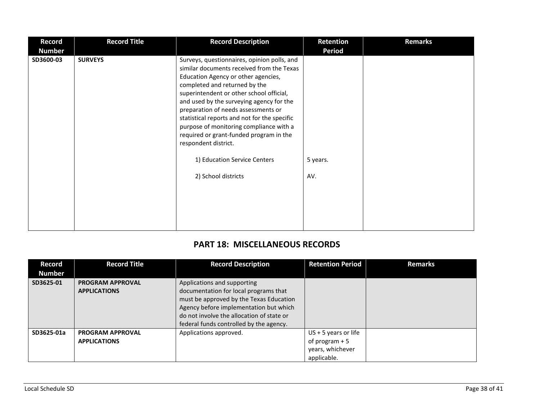| <b>Record</b> | <b>Record Title</b> | <b>Record Description</b>                                                                                                                                                                                                                                                                                                                                                                                                                                                                     | Retention     | <b>Remarks</b> |
|---------------|---------------------|-----------------------------------------------------------------------------------------------------------------------------------------------------------------------------------------------------------------------------------------------------------------------------------------------------------------------------------------------------------------------------------------------------------------------------------------------------------------------------------------------|---------------|----------------|
| <b>Number</b> |                     |                                                                                                                                                                                                                                                                                                                                                                                                                                                                                               | <b>Period</b> |                |
| SD3600-03     | <b>SURVEYS</b>      | Surveys, questionnaires, opinion polls, and<br>similar documents received from the Texas<br>Education Agency or other agencies,<br>completed and returned by the<br>superintendent or other school official,<br>and used by the surveying agency for the<br>preparation of needs assessments or<br>statistical reports and not for the specific<br>purpose of monitoring compliance with a<br>required or grant-funded program in the<br>respondent district.<br>1) Education Service Centers | 5 years.      |                |
|               |                     | 2) School districts                                                                                                                                                                                                                                                                                                                                                                                                                                                                           | AV.           |                |

# **PART 18: MISCELLANEOUS RECORDS**

| <b>Record</b> | <b>Record Title</b>     | <b>Record Description</b>                 | <b>Retention Period</b> | <b>Remarks</b> |
|---------------|-------------------------|-------------------------------------------|-------------------------|----------------|
| <b>Number</b> |                         |                                           |                         |                |
| SD3625-01     | <b>PROGRAM APPROVAL</b> | Applications and supporting               |                         |                |
|               | <b>APPLICATIONS</b>     | documentation for local programs that     |                         |                |
|               |                         | must be approved by the Texas Education   |                         |                |
|               |                         | Agency before implementation but which    |                         |                |
|               |                         | do not involve the allocation of state or |                         |                |
|               |                         | federal funds controlled by the agency.   |                         |                |
| SD3625-01a    | <b>PROGRAM APPROVAL</b> | Applications approved.                    | $US + 5$ years or life  |                |
|               | <b>APPLICATIONS</b>     |                                           | of program $+5$         |                |
|               |                         |                                           | years, whichever        |                |
|               |                         |                                           | applicable.             |                |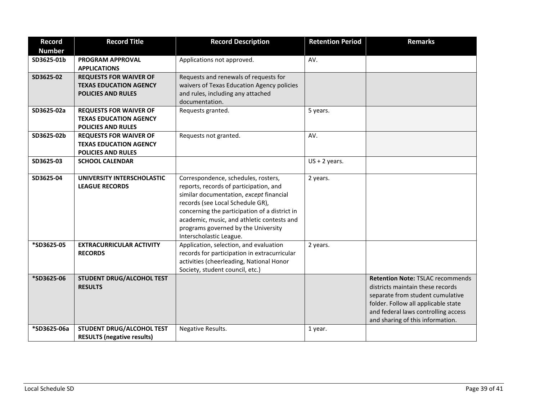| <b>Record</b> | <b>Record Title</b>               | <b>Record Description</b>                     | <b>Retention Period</b> | <b>Remarks</b>                          |
|---------------|-----------------------------------|-----------------------------------------------|-------------------------|-----------------------------------------|
| <b>Number</b> |                                   |                                               |                         |                                         |
| SD3625-01b    | PROGRAM APPROVAL                  | Applications not approved.                    | AV.                     |                                         |
|               | <b>APPLICATIONS</b>               |                                               |                         |                                         |
| SD3625-02     | <b>REQUESTS FOR WAIVER OF</b>     | Requests and renewals of requests for         |                         |                                         |
|               | <b>TEXAS EDUCATION AGENCY</b>     | waivers of Texas Education Agency policies    |                         |                                         |
|               | <b>POLICIES AND RULES</b>         | and rules, including any attached             |                         |                                         |
|               |                                   | documentation.                                |                         |                                         |
| SD3625-02a    | <b>REQUESTS FOR WAIVER OF</b>     | Requests granted.                             | 5 years.                |                                         |
|               | <b>TEXAS EDUCATION AGENCY</b>     |                                               |                         |                                         |
|               | <b>POLICIES AND RULES</b>         |                                               |                         |                                         |
| SD3625-02b    | <b>REQUESTS FOR WAIVER OF</b>     | Requests not granted.                         | AV.                     |                                         |
|               | <b>TEXAS EDUCATION AGENCY</b>     |                                               |                         |                                         |
|               | <b>POLICIES AND RULES</b>         |                                               |                         |                                         |
| SD3625-03     | <b>SCHOOL CALENDAR</b>            |                                               | $US + 2$ years.         |                                         |
| SD3625-04     | UNIVERSITY INTERSCHOLASTIC        | Correspondence, schedules, rosters,           | 2 years.                |                                         |
|               | <b>LEAGUE RECORDS</b>             | reports, records of participation, and        |                         |                                         |
|               |                                   | similar documentation, except financial       |                         |                                         |
|               |                                   | records (see Local Schedule GR),              |                         |                                         |
|               |                                   | concerning the participation of a district in |                         |                                         |
|               |                                   | academic, music, and athletic contests and    |                         |                                         |
|               |                                   | programs governed by the University           |                         |                                         |
|               |                                   | Interscholastic League.                       |                         |                                         |
| *SD3625-05    | <b>EXTRACURRICULAR ACTIVITY</b>   | Application, selection, and evaluation        | 2 years.                |                                         |
|               | <b>RECORDS</b>                    | records for participation in extracurricular  |                         |                                         |
|               |                                   | activities (cheerleading, National Honor      |                         |                                         |
|               |                                   | Society, student council, etc.)               |                         |                                         |
| *SD3625-06    | STUDENT DRUG/ALCOHOL TEST         |                                               |                         | <b>Retention Note: TSLAC recommends</b> |
|               | <b>RESULTS</b>                    |                                               |                         | districts maintain these records        |
|               |                                   |                                               |                         | separate from student cumulative        |
|               |                                   |                                               |                         | folder. Follow all applicable state     |
|               |                                   |                                               |                         | and federal laws controlling access     |
| *SD3625-06a   | STUDENT DRUG/ALCOHOL TEST         | Negative Results.                             | 1 year.                 | and sharing of this information.        |
|               | <b>RESULTS (negative results)</b> |                                               |                         |                                         |
|               |                                   |                                               |                         |                                         |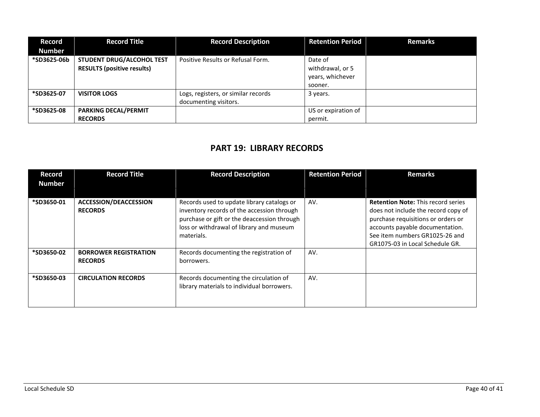| <b>Record</b><br><b>Number</b> | <b>Record Title</b>                                            | <b>Record Description</b>                                    | <b>Retention Period</b>                                    | <b>Remarks</b> |
|--------------------------------|----------------------------------------------------------------|--------------------------------------------------------------|------------------------------------------------------------|----------------|
| *SD3625-06b                    | STUDENT DRUG/ALCOHOL TEST<br><b>RESULTS (positive results)</b> | Positive Results or Refusal Form.                            | Date of<br>withdrawal, or 5<br>years, whichever<br>sooner. |                |
| *SD3625-07                     | <b>VISITOR LOGS</b>                                            | Logs, registers, or similar records<br>documenting visitors. | 3 years.                                                   |                |
| *SD3625-08                     | <b>PARKING DECAL/PERMIT</b><br><b>RECORDS</b>                  |                                                              | US or expiration of<br>permit.                             |                |

## **PART 19: LIBRARY RECORDS**

| Record<br><b>Number</b> | <b>Record Title</b>                            | <b>Record Description</b>                                                                                                                                                                         | <b>Retention Period</b> | <b>Remarks</b>                                                                                                                                                                                                                 |
|-------------------------|------------------------------------------------|---------------------------------------------------------------------------------------------------------------------------------------------------------------------------------------------------|-------------------------|--------------------------------------------------------------------------------------------------------------------------------------------------------------------------------------------------------------------------------|
| *SD3650-01              | <b>ACCESSION/DEACCESSION</b><br><b>RECORDS</b> | Records used to update library catalogs or<br>inventory records of the accession through<br>purchase or gift or the deaccession through<br>loss or withdrawal of library and museum<br>materials. | AV.                     | <b>Retention Note: This record series</b><br>does not include the record copy of<br>purchase requisitions or orders or<br>accounts payable documentation.<br>See item numbers GR1025-26 and<br>GR1075-03 in Local Schedule GR. |
| *SD3650-02              | <b>BORROWER REGISTRATION</b><br><b>RECORDS</b> | Records documenting the registration of<br>borrowers.                                                                                                                                             | AV.                     |                                                                                                                                                                                                                                |
| *SD3650-03              | <b>CIRCULATION RECORDS</b>                     | Records documenting the circulation of<br>library materials to individual borrowers.                                                                                                              | AV.                     |                                                                                                                                                                                                                                |